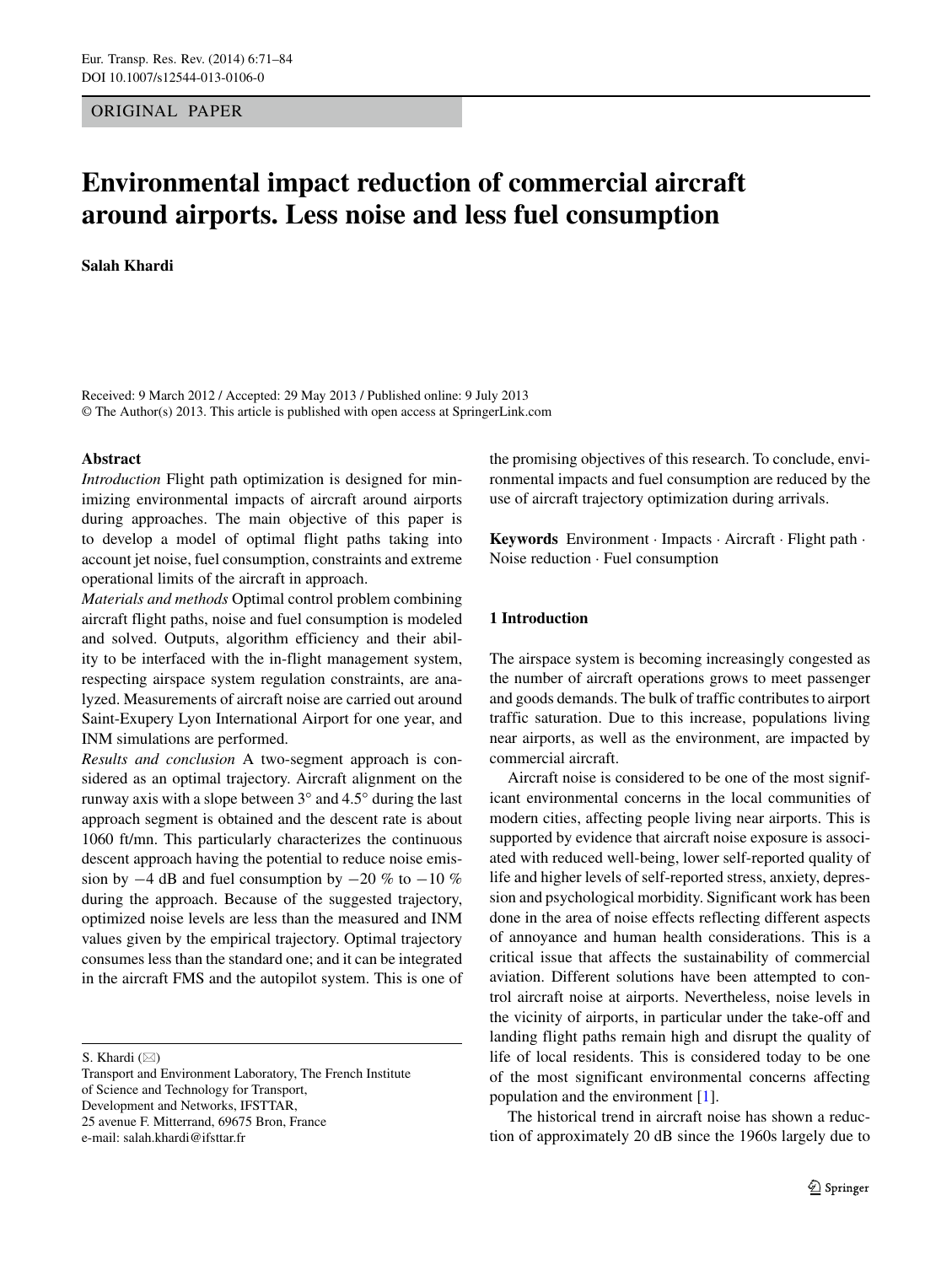# ORIGINAL PAPER

# **Environmental impact reduction of commercial aircraft around airports. Less noise and less fuel consumption**

**Salah Khardi**

Received: 9 March 2012 / Accepted: 29 May 2013 / Published online: 9 July 2013 © The Author(s) 2013. This article is published with open access at SpringerLink.com

#### **Abstract**

*Introduction* Flight path optimization is designed for minimizing environmental impacts of aircraft around airports during approaches. The main objective of this paper is to develop a model of optimal flight paths taking into account jet noise, fuel consumption, constraints and extreme operational limits of the aircraft in approach.

*Materials and methods* Optimal control problem combining aircraft flight paths, noise and fuel consumption is modeled and solved. Outputs, algorithm efficiency and their ability to be interfaced with the in-flight management system, respecting airspace system regulation constraints, are analyzed. Measurements of aircraft noise are carried out around Saint-Exupery Lyon International Airport for one year, and INM simulations are performed.

*Results and conclusion* A two-segment approach is considered as an optimal trajectory. Aircraft alignment on the runway axis with a slope between 3◦ and 4.5◦ during the last approach segment is obtained and the descent rate is about 1060 ft/mn. This particularly characterizes the continuous descent approach having the potential to reduce noise emission by  $-4$  dB and fuel consumption by  $-20\%$  to  $-10\%$ during the approach. Because of the suggested trajectory, optimized noise levels are less than the measured and INM values given by the empirical trajectory. Optimal trajectory consumes less than the standard one; and it can be integrated in the aircraft FMS and the autopilot system. This is one of

S. Khardi  $(\boxtimes)$ 

Transport and Environment Laboratory, The French Institute of Science and Technology for Transport, Development and Networks, IFSTTAR, 25 avenue F. Mitterrand, 69675 Bron, France e-mail: [salah.khardi@ifsttar.fr](mailto:salah.khardi@ifsttar.fr)

the promising objectives of this research. To conclude, environmental impacts and fuel consumption are reduced by the use of aircraft trajectory optimization during arrivals.

**Keywords** Environment · Impacts · Aircraft · Flight path · Noise reduction · Fuel consumption

## **1 Introduction**

The airspace system is becoming increasingly congested as the number of aircraft operations grows to meet passenger and goods demands. The bulk of traffic contributes to airport traffic saturation. Due to this increase, populations living near airports, as well as the environment, are impacted by commercial aircraft.

Aircraft noise is considered to be one of the most significant environmental concerns in the local communities of modern cities, affecting people living near airports. This is supported by evidence that aircraft noise exposure is associated with reduced well-being, lower self-reported quality of life and higher levels of self-reported stress, anxiety, depression and psychological morbidity. Significant work has been done in the area of noise effects reflecting different aspects of annoyance and human health considerations. This is a critical issue that affects the sustainability of commercial aviation. Different solutions have been attempted to control aircraft noise at airports. Nevertheless, noise levels in the vicinity of airports, in particular under the take-off and landing flight paths remain high and disrupt the quality of life of local residents. This is considered today to be one of the most significant environmental concerns affecting population and the environment [\[1\]](#page-12-0).

The historical trend in aircraft noise has shown a reduction of approximately 20 dB since the 1960s largely due to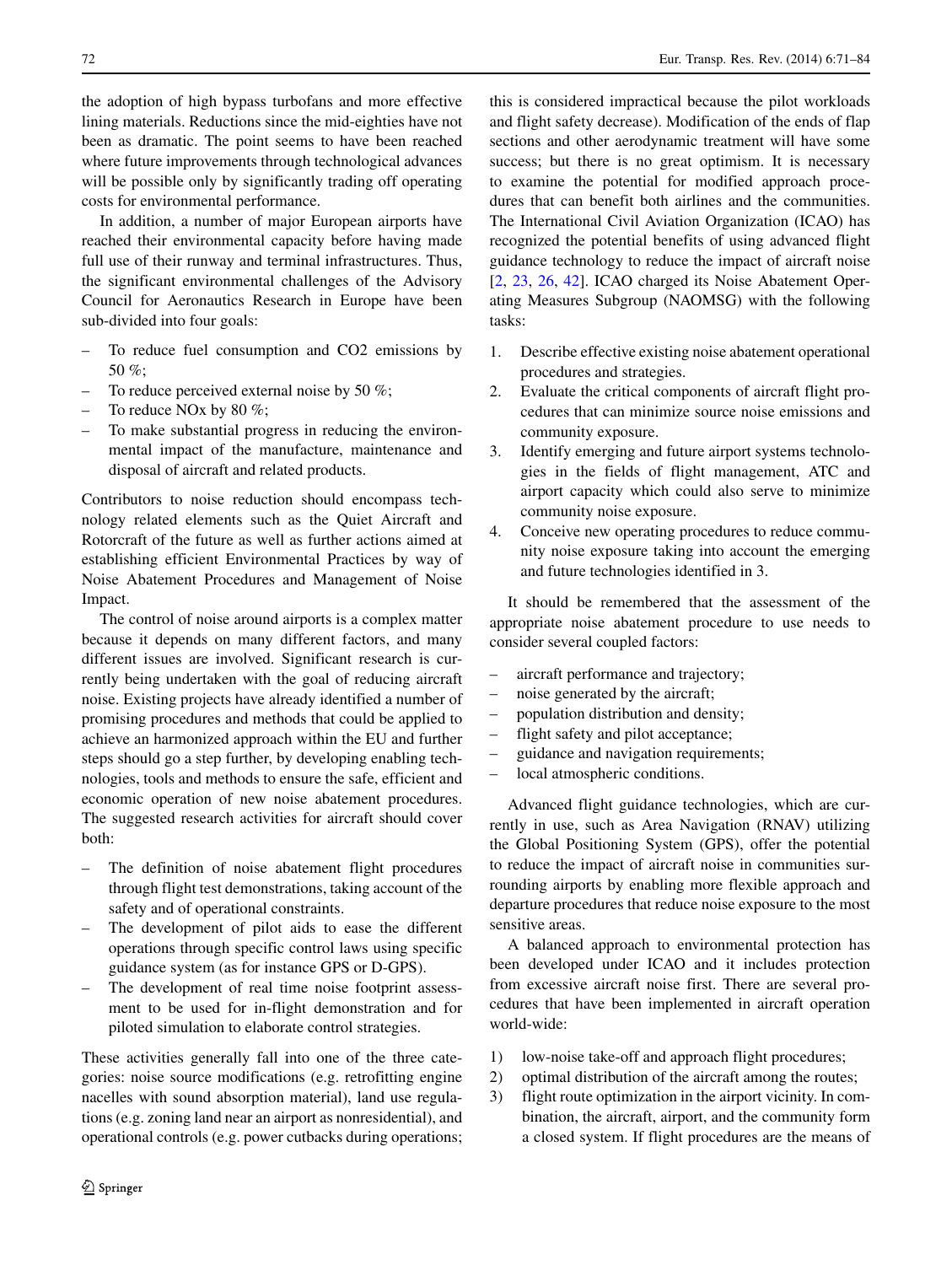the adoption of high bypass turbofans and more effective lining materials. Reductions since the mid-eighties have not been as dramatic. The point seems to have been reached where future improvements through technological advances will be possible only by significantly trading off operating costs for environmental performance.

In addition, a number of major European airports have reached their environmental capacity before having made full use of their runway and terminal infrastructures. Thus, the significant environmental challenges of the Advisory Council for Aeronautics Research in Europe have been sub-divided into four goals:

- To reduce fuel consumption and CO2 emissions by 50 %;
- To reduce perceived external noise by 50  $\%$ ;
- To reduce NOx by 80 %;
- To make substantial progress in reducing the environmental impact of the manufacture, maintenance and disposal of aircraft and related products.

Contributors to noise reduction should encompass technology related elements such as the Quiet Aircraft and Rotorcraft of the future as well as further actions aimed at establishing efficient Environmental Practices by way of Noise Abatement Procedures and Management of Noise Impact.

The control of noise around airports is a complex matter because it depends on many different factors, and many different issues are involved. Significant research is currently being undertaken with the goal of reducing aircraft noise. Existing projects have already identified a number of promising procedures and methods that could be applied to achieve an harmonized approach within the EU and further steps should go a step further, by developing enabling technologies, tools and methods to ensure the safe, efficient and economic operation of new noise abatement procedures. The suggested research activities for aircraft should cover both:

- The definition of noise abatement flight procedures through flight test demonstrations, taking account of the safety and of operational constraints.
- The development of pilot aids to ease the different operations through specific control laws using specific guidance system (as for instance GPS or D-GPS).
- The development of real time noise footprint assessment to be used for in-flight demonstration and for piloted simulation to elaborate control strategies.

These activities generally fall into one of the three categories: noise source modifications (e.g. retrofitting engine nacelles with sound absorption material), land use regulations (e.g. zoning land near an airport as nonresidential), and operational controls (e.g. power cutbacks during operations; this is considered impractical because the pilot workloads and flight safety decrease). Modification of the ends of flap sections and other aerodynamic treatment will have some success; but there is no great optimism. It is necessary to examine the potential for modified approach procedures that can benefit both airlines and the communities. The International Civil Aviation Organization (ICAO) has recognized the potential benefits of using advanced flight guidance technology to reduce the impact of aircraft noise [\[2,](#page-12-1) [23,](#page-13-0) [26,](#page-13-1) [42\]](#page-13-2). ICAO charged its Noise Abatement Operating Measures Subgroup (NAOMSG) with the following tasks:

- 1. Describe effective existing noise abatement operational procedures and strategies.
- 2. Evaluate the critical components of aircraft flight procedures that can minimize source noise emissions and community exposure.
- 3. Identify emerging and future airport systems technologies in the fields of flight management, ATC and airport capacity which could also serve to minimize community noise exposure.
- 4. Conceive new operating procedures to reduce community noise exposure taking into account the emerging and future technologies identified in 3.

It should be remembered that the assessment of the appropriate noise abatement procedure to use needs to consider several coupled factors:

- aircraft performance and trajectory;
- noise generated by the aircraft;
- population distribution and density;
- flight safety and pilot acceptance;
- guidance and navigation requirements;
- local atmospheric conditions.

Advanced flight guidance technologies, which are currently in use, such as Area Navigation (RNAV) utilizing the Global Positioning System (GPS), offer the potential to reduce the impact of aircraft noise in communities surrounding airports by enabling more flexible approach and departure procedures that reduce noise exposure to the most sensitive areas.

A balanced approach to environmental protection has been developed under ICAO and it includes protection from excessive aircraft noise first. There are several procedures that have been implemented in aircraft operation world-wide:

- 1) low-noise take-off and approach flight procedures;
- 2) optimal distribution of the aircraft among the routes;
- 3) flight route optimization in the airport vicinity. In combination, the aircraft, airport, and the community form a closed system. If flight procedures are the means of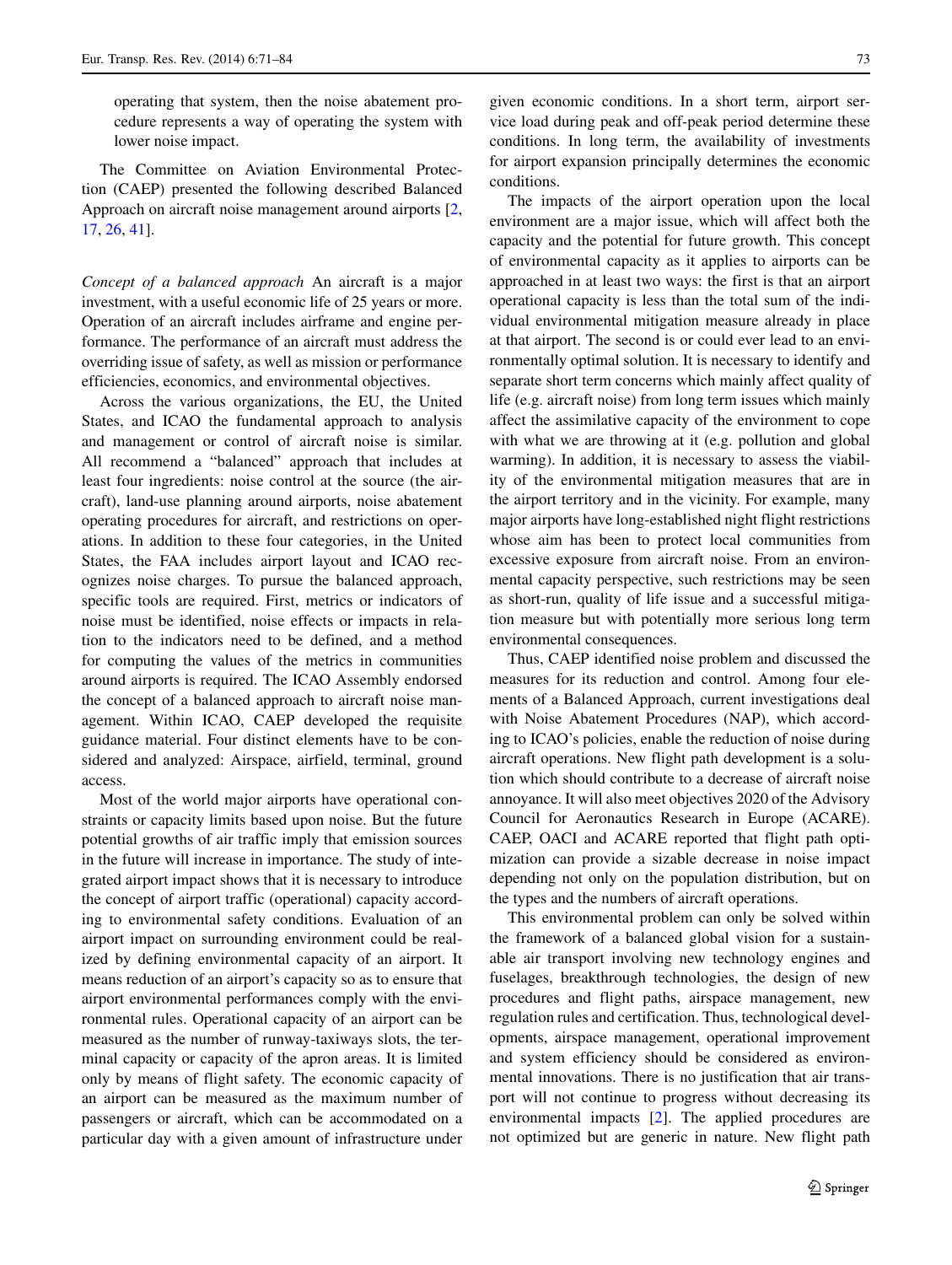operating that system, then the noise abatement procedure represents a way of operating the system with lower noise impact.

The Committee on Aviation Environmental Protection (CAEP) presented the following described Balanced Approach on aircraft noise management around airports [\[2,](#page-12-1) [17,](#page-12-2) [26,](#page-13-1) [41\]](#page-13-3).

*Concept of a balanced approach* An aircraft is a major investment, with a useful economic life of 25 years or more. Operation of an aircraft includes airframe and engine performance. The performance of an aircraft must address the overriding issue of safety, as well as mission or performance efficiencies, economics, and environmental objectives.

Across the various organizations, the EU, the United States, and ICAO the fundamental approach to analysis and management or control of aircraft noise is similar. All recommend a "balanced" approach that includes at least four ingredients: noise control at the source (the aircraft), land-use planning around airports, noise abatement operating procedures for aircraft, and restrictions on operations. In addition to these four categories, in the United States, the FAA includes airport layout and ICAO recognizes noise charges. To pursue the balanced approach, specific tools are required. First, metrics or indicators of noise must be identified, noise effects or impacts in relation to the indicators need to be defined, and a method for computing the values of the metrics in communities around airports is required. The ICAO Assembly endorsed the concept of a balanced approach to aircraft noise management. Within ICAO, CAEP developed the requisite guidance material. Four distinct elements have to be considered and analyzed: Airspace, airfield, terminal, ground access.

Most of the world major airports have operational constraints or capacity limits based upon noise. But the future potential growths of air traffic imply that emission sources in the future will increase in importance. The study of integrated airport impact shows that it is necessary to introduce the concept of airport traffic (operational) capacity according to environmental safety conditions. Evaluation of an airport impact on surrounding environment could be realized by defining environmental capacity of an airport. It means reduction of an airport's capacity so as to ensure that airport environmental performances comply with the environmental rules. Operational capacity of an airport can be measured as the number of runway-taxiways slots, the terminal capacity or capacity of the apron areas. It is limited only by means of flight safety. The economic capacity of an airport can be measured as the maximum number of passengers or aircraft, which can be accommodated on a particular day with a given amount of infrastructure under given economic conditions. In a short term, airport service load during peak and off-peak period determine these conditions. In long term, the availability of investments for airport expansion principally determines the economic conditions.

The impacts of the airport operation upon the local environment are a major issue, which will affect both the capacity and the potential for future growth. This concept of environmental capacity as it applies to airports can be approached in at least two ways: the first is that an airport operational capacity is less than the total sum of the individual environmental mitigation measure already in place at that airport. The second is or could ever lead to an environmentally optimal solution. It is necessary to identify and separate short term concerns which mainly affect quality of life (e.g. aircraft noise) from long term issues which mainly affect the assimilative capacity of the environment to cope with what we are throwing at it (e.g. pollution and global warming). In addition, it is necessary to assess the viability of the environmental mitigation measures that are in the airport territory and in the vicinity. For example, many major airports have long-established night flight restrictions whose aim has been to protect local communities from excessive exposure from aircraft noise. From an environmental capacity perspective, such restrictions may be seen as short-run, quality of life issue and a successful mitigation measure but with potentially more serious long term environmental consequences.

Thus, CAEP identified noise problem and discussed the measures for its reduction and control. Among four elements of a Balanced Approach, current investigations deal with Noise Abatement Procedures (NAP), which according to ICAO's policies, enable the reduction of noise during aircraft operations. New flight path development is a solution which should contribute to a decrease of aircraft noise annoyance. It will also meet objectives 2020 of the Advisory Council for Aeronautics Research in Europe (ACARE). CAEP, OACI and ACARE reported that flight path optimization can provide a sizable decrease in noise impact depending not only on the population distribution, but on the types and the numbers of aircraft operations.

This environmental problem can only be solved within the framework of a balanced global vision for a sustainable air transport involving new technology engines and fuselages, breakthrough technologies, the design of new procedures and flight paths, airspace management, new regulation rules and certification. Thus, technological developments, airspace management, operational improvement and system efficiency should be considered as environmental innovations. There is no justification that air transport will not continue to progress without decreasing its environmental impacts [\[2\]](#page-12-1). The applied procedures are not optimized but are generic in nature. New flight path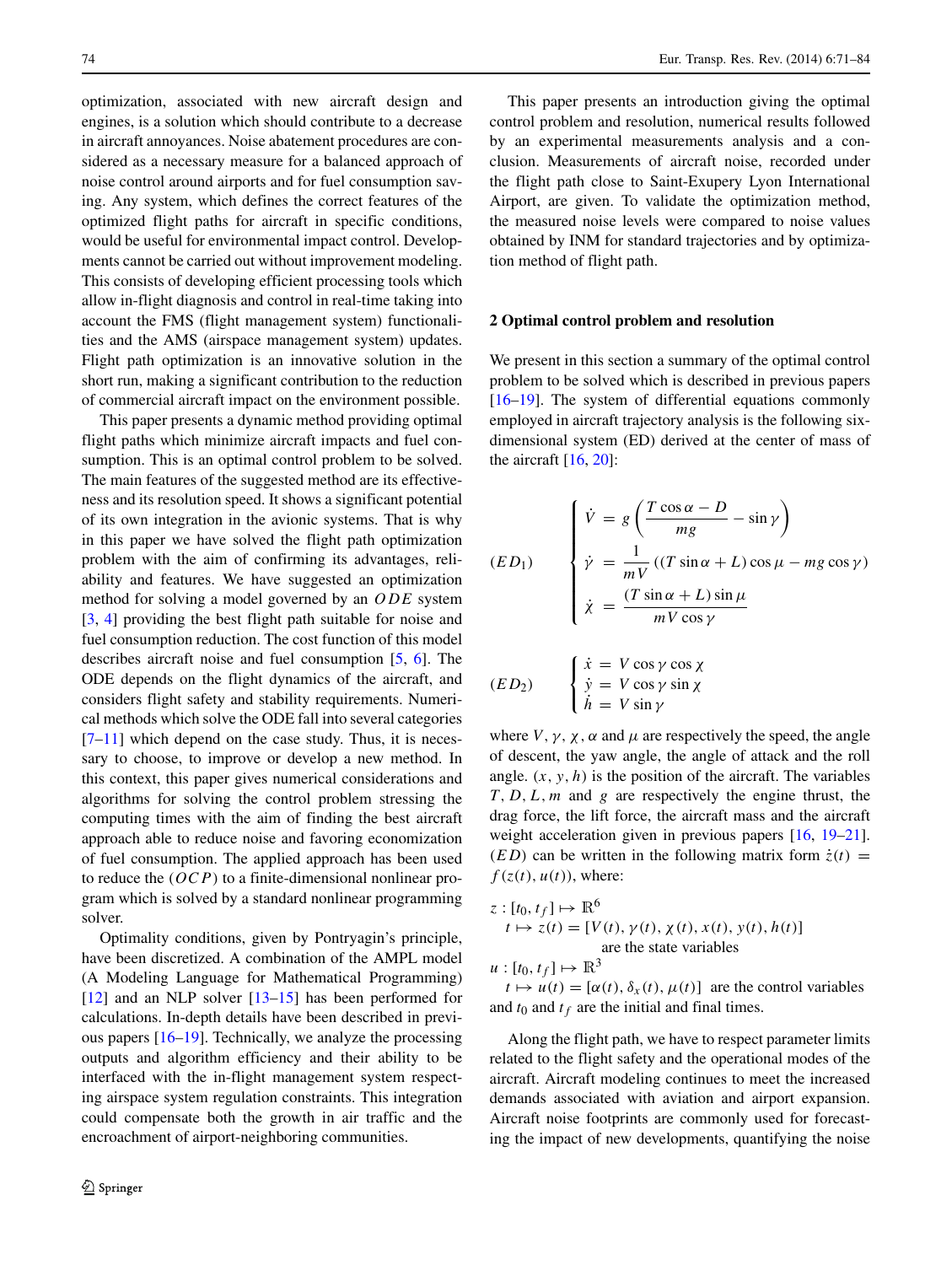optimization, associated with new aircraft design and engines, is a solution which should contribute to a decrease in aircraft annoyances. Noise abatement procedures are considered as a necessary measure for a balanced approach of noise control around airports and for fuel consumption saving. Any system, which defines the correct features of the optimized flight paths for aircraft in specific conditions, would be useful for environmental impact control. Developments cannot be carried out without improvement modeling. This consists of developing efficient processing tools which allow in-flight diagnosis and control in real-time taking into account the FMS (flight management system) functionalities and the AMS (airspace management system) updates. Flight path optimization is an innovative solution in the short run, making a significant contribution to the reduction of commercial aircraft impact on the environment possible.

This paper presents a dynamic method providing optimal flight paths which minimize aircraft impacts and fuel consumption. This is an optimal control problem to be solved. The main features of the suggested method are its effectiveness and its resolution speed. It shows a significant potential of its own integration in the avionic systems. That is why in this paper we have solved the flight path optimization problem with the aim of confirming its advantages, reliability and features. We have suggested an optimization method for solving a model governed by an *ODE* system [\[3,](#page-12-3) [4\]](#page-12-4) providing the best flight path suitable for noise and fuel consumption reduction. The cost function of this model describes aircraft noise and fuel consumption [\[5,](#page-12-5) [6\]](#page-12-6). The ODE depends on the flight dynamics of the aircraft, and considers flight safety and stability requirements. Numerical methods which solve the ODE fall into several categories  $[7-11]$  $[7-11]$  which depend on the case study. Thus, it is necessary to choose, to improve or develop a new method. In this context, this paper gives numerical considerations and algorithms for solving the control problem stressing the computing times with the aim of finding the best aircraft approach able to reduce noise and favoring economization of fuel consumption. The applied approach has been used to reduce the *(OCP)* to a finite-dimensional nonlinear program which is solved by a standard nonlinear programming solver.

Optimality conditions, given by Pontryagin's principle, have been discretized. A combination of the AMPL model (A Modeling Language for Mathematical Programming) [\[12\]](#page-12-9) and an NLP solver [\[13–](#page-12-10)[15\]](#page-12-11) has been performed for calculations. In-depth details have been described in previous papers [\[16–](#page-12-12)[19\]](#page-12-13). Technically, we analyze the processing outputs and algorithm efficiency and their ability to be interfaced with the in-flight management system respecting airspace system regulation constraints. This integration could compensate both the growth in air traffic and the encroachment of airport-neighboring communities.

This paper presents an introduction giving the optimal control problem and resolution, numerical results followed by an experimental measurements analysis and a conclusion. Measurements of aircraft noise, recorded under the flight path close to Saint-Exupery Lyon International Airport, are given. To validate the optimization method, the measured noise levels were compared to noise values obtained by INM for standard trajectories and by optimization method of flight path.

#### **2 Optimal control problem and resolution**

We present in this section a summary of the optimal control problem to be solved which is described in previous papers [\[16–](#page-12-12)[19\]](#page-12-13). The system of differential equations commonly employed in aircraft trajectory analysis is the following sixdimensional system (ED) derived at the center of mass of the aircraft  $[16, 20]$  $[16, 20]$  $[16, 20]$ :

$$
(ED_1) \qquad \begin{cases} \n\dot{V} = g \left( \frac{T \cos \alpha - D}{mg} - \sin \gamma \right) \\ \n\dot{\gamma} = \frac{1}{mV} \left( (T \sin \alpha + L) \cos \mu - mg \cos \gamma \right) \\ \n\dot{\chi} = \frac{(T \sin \alpha + L) \sin \mu}{mV \cos \gamma} \n\end{cases}
$$

$$
(ED_2) \qquad \begin{cases} \n\dot{x} = V \cos \gamma \cos \chi \\ \n\dot{y} = V \cos \gamma \sin \chi \\ \n\dot{h} = V \sin \gamma \n\end{cases}
$$

where *V*,  $\gamma$ ,  $\chi$ ,  $\alpha$  and  $\mu$  are respectively the speed, the angle of descent, the yaw angle, the angle of attack and the roll angle.  $(x, y, h)$  is the position of the aircraft. The variables *T,D,L,m* and *g* are respectively the engine thrust, the drag force, the lift force, the aircraft mass and the aircraft weight acceleration given in previous papers  $[16, 19-21]$  $[16, 19-21]$  $[16, 19-21]$  $[16, 19-21]$ . *(ED)* can be written in the following matrix form  $\dot{z}(t)$  =  $f(z(t), u(t))$ , where:

$$
z: [t_0, t_f] \mapsto \mathbb{R}^6
$$
  
\n
$$
t \mapsto z(t) = [V(t), \gamma(t), \chi(t), x(t), y(t), h(t)]
$$
  
\nare the state variables  
\n
$$
u: [t_0, t_f] \mapsto \mathbb{R}^3
$$

 $t \mapsto u(t) = [\alpha(t), \delta_x(t), \mu(t)]$  are the control variables and  $t_0$  and  $t_f$  are the initial and final times.

Along the flight path, we have to respect parameter limits related to the flight safety and the operational modes of the aircraft. Aircraft modeling continues to meet the increased demands associated with aviation and airport expansion. Aircraft noise footprints are commonly used for forecasting the impact of new developments, quantifying the noise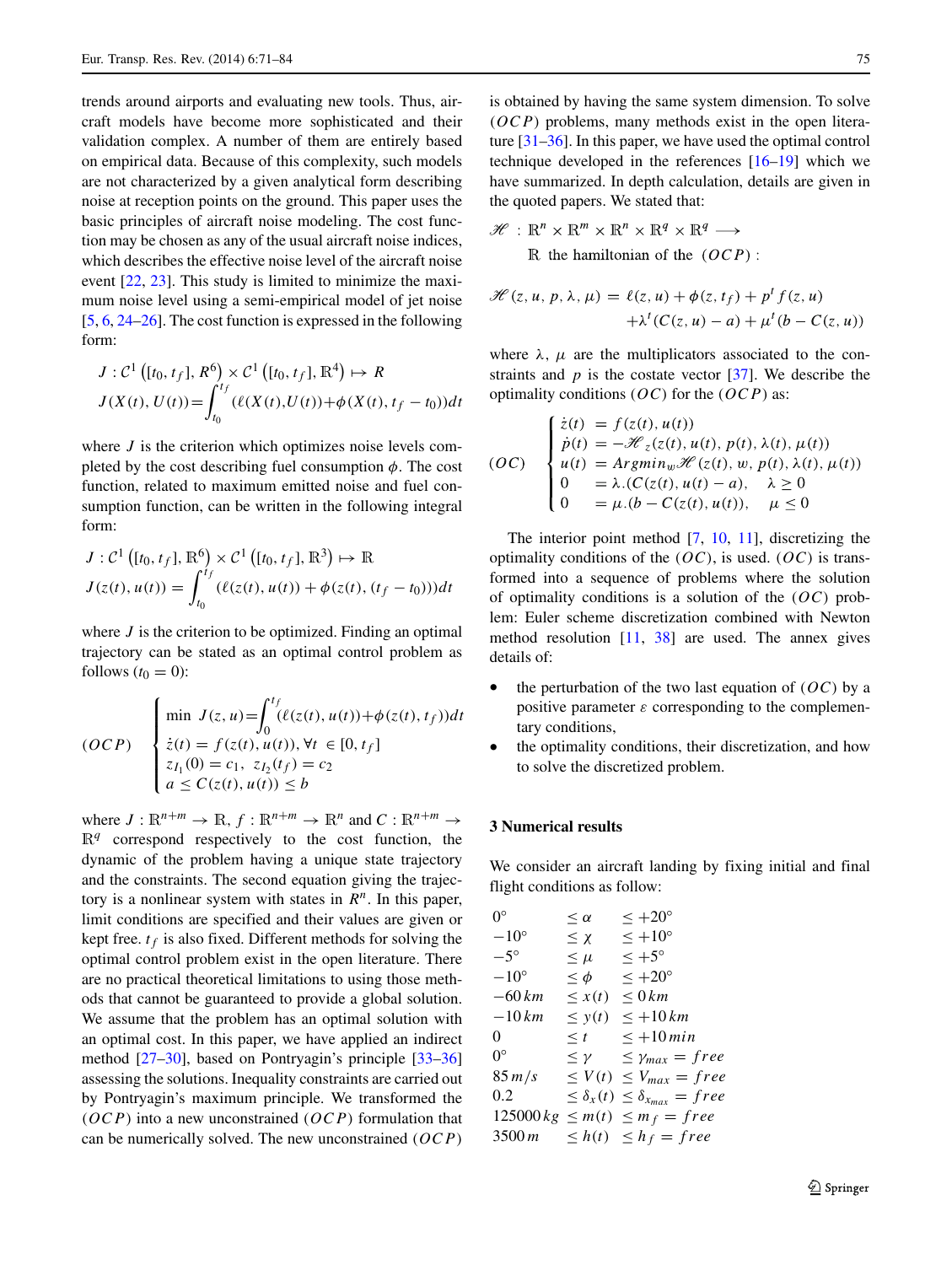trends around airports and evaluating new tools. Thus, aircraft models have become more sophisticated and their validation complex. A number of them are entirely based on empirical data. Because of this complexity, such models are not characterized by a given analytical form describing noise at reception points on the ground. This paper uses the basic principles of aircraft noise modeling. The cost function may be chosen as any of the usual aircraft noise indices, which describes the effective noise level of the aircraft noise event [\[22,](#page-13-6) [23\]](#page-13-0). This study is limited to minimize the maximum noise level using a semi-empirical model of jet noise [\[5,](#page-12-5) [6,](#page-12-6) [24](#page-13-7)[–26\]](#page-13-1). The cost function is expressed in the following form:

$$
J: C^{1} ([t_{0}, t_{f}], R^{6}) \times C^{1} ([t_{0}, t_{f}], \mathbb{R}^{4}) \mapsto R
$$
  

$$
J(X(t), U(t)) = \int_{t_{0}}^{t_{f}} (\ell(X(t), U(t)) + \phi(X(t), t_{f} - t_{0})) dt
$$

where *J* is the criterion which optimizes noise levels completed by the cost describing fuel consumption  $\phi$ . The cost function, related to maximum emitted noise and fuel consumption function, can be written in the following integral form:

$$
J: C^{1} ([t_{0}, t_{f}], \mathbb{R}^{6}) \times C^{1} ([t_{0}, t_{f}], \mathbb{R}^{3}) \mapsto \mathbb{R}
$$
  

$$
J(z(t), u(t)) = \int_{t_{0}}^{t_{f}} (\ell(z(t), u(t)) + \phi(z(t), (t_{f} - t_{0}))) dt
$$

where *J* is the criterion to be optimized. Finding an optimal trajectory can be stated as an optimal control problem as follows  $(t_0 = 0)$ :

$$
(OCP) \begin{cases} \min \ J(z, u) = \int_0^{t_f} (\ell(z(t), u(t)) + \phi(z(t), t_f)) dt \\ \dot{z}(t) = f(z(t), u(t)), \forall t \in [0, t_f] \\ z_{I_1}(0) = c_1, \ z_{I_2}(t_f) = c_2 \\ a \le C(z(t), u(t)) \le b \end{cases}
$$

where  $J: \mathbb{R}^{n+m} \to \mathbb{R}, f: \mathbb{R}^{n+m} \to \mathbb{R}^n$  and  $C: \mathbb{R}^{n+m} \to$ R*<sup>q</sup>* correspond respectively to the cost function, the dynamic of the problem having a unique state trajectory and the constraints. The second equation giving the trajectory is a nonlinear system with states in  $R^n$ . In this paper, limit conditions are specified and their values are given or kept free.  $t_f$  is also fixed. Different methods for solving the optimal control problem exist in the open literature. There are no practical theoretical limitations to using those methods that cannot be guaranteed to provide a global solution. We assume that the problem has an optimal solution with an optimal cost. In this paper, we have applied an indirect method [\[27](#page-13-8)[–30\]](#page-13-9), based on Pontryagin's principle [\[33–](#page-13-10)[36\]](#page-13-11) assessing the solutions. Inequality constraints are carried out by Pontryagin's maximum principle. We transformed the *(OCP)* into a new unconstrained *(OCP)* formulation that can be numerically solved. The new unconstrained *(OCP)* is obtained by having the same system dimension. To solve *(OCP)* problems, many methods exist in the open literature  $\left[31-36\right]$  $\left[31-36\right]$  $\left[31-36\right]$ . In this paper, we have used the optimal control technique developed in the references [\[16](#page-12-12)[–19\]](#page-12-13) which we have summarized. In depth calculation, details are given in the quoted papers. We stated that:

$$
\mathscr{H} : \mathbb{R}^n \times \mathbb{R}^m \times \mathbb{R}^n \times \mathbb{R}^q \times \mathbb{R}^q \longrightarrow
$$

R the hamiltonian of the  $(OCP)$ :

$$
\mathcal{H}(z, u, p, \lambda, \mu) = \ell(z, u) + \phi(z, t_f) + p^t f(z, u)
$$

$$
+ \lambda^t (C(z, u) - a) + \mu^t (b - C(z, u))
$$

where  $\lambda$ ,  $\mu$  are the multiplicators associated to the constraints and  $p$  is the costate vector  $[37]$ . We describe the optimality conditions *(OC)* for the *(OCP)* as:

$$
(OC)
$$
\n
$$
\begin{cases}\n\dot{z}(t) = f(z(t), u(t)) \\
\dot{p}(t) = -\mathcal{H}_z(z(t), u(t), p(t), \lambda(t), \mu(t)) \\
u(t) = \operatorname{Argmin}_w \mathcal{H}(z(t), w, p(t), \lambda(t), \mu(t)) \\
0 = \lambda \cdot (C(z(t), u(t) - a), \quad \lambda \ge 0 \\
0 = \mu \cdot (b - C(z(t), u(t)), \quad \mu \le 0\n\end{cases}
$$

The interior point method [\[7,](#page-12-7) [10,](#page-12-14) [11\]](#page-12-8), discretizing the optimality conditions of the *(OC)*, is used. *(OC)* is transformed into a sequence of problems where the solution of optimality conditions is a solution of the *(OC)* problem: Euler scheme discretization combined with Newton method resolution [\[11,](#page-12-8) [38\]](#page-13-14) are used. The annex gives details of:

- the perturbation of the two last equation of  $(OC)$  by a positive parameter  $\varepsilon$  corresponding to the complementary conditions,
- the optimality conditions, their discretization, and how to solve the discretized problem.

#### **3 Numerical results**

We consider an aircraft landing by fixing initial and final flight conditions as follow:

| 0°            | $\leq \alpha$ | $\leq +20^{\circ}$                              |
|---------------|---------------|-------------------------------------------------|
| $-10^{\circ}$ | $\leq \chi$   | $\leq +10^{\circ}$                              |
| $-5^{\circ}$  | $\leq \mu$    | $\leq +5^{\circ}$                               |
| $-10^{\circ}$ | $\leq \phi$   | $\leq +20^{\circ}$                              |
| –60 km        | $\leq$ x(t)   | $\leq 0$ km                                     |
| $-10$ km      | $\leq y(t)$   | $\leq$ +10 km                                   |
| 0             | $\leq t$      | $\leq$ +10 min                                  |
| $0^{\circ}$   | $\leq \gamma$ | $\leq \gamma_{max} = free$                      |
| $85 \, m/s$   |               | $\leq V(t) \leq V_{max} = free$                 |
| 0.2           |               | $\leq \delta_x(t) \leq \delta_{x_{max}} = free$ |
|               |               | $125000 kg \leq m(t) \leq m_f = free$           |
| 3500 m        |               | $\leq h(t) \leq h_f = free$                     |
|               |               |                                                 |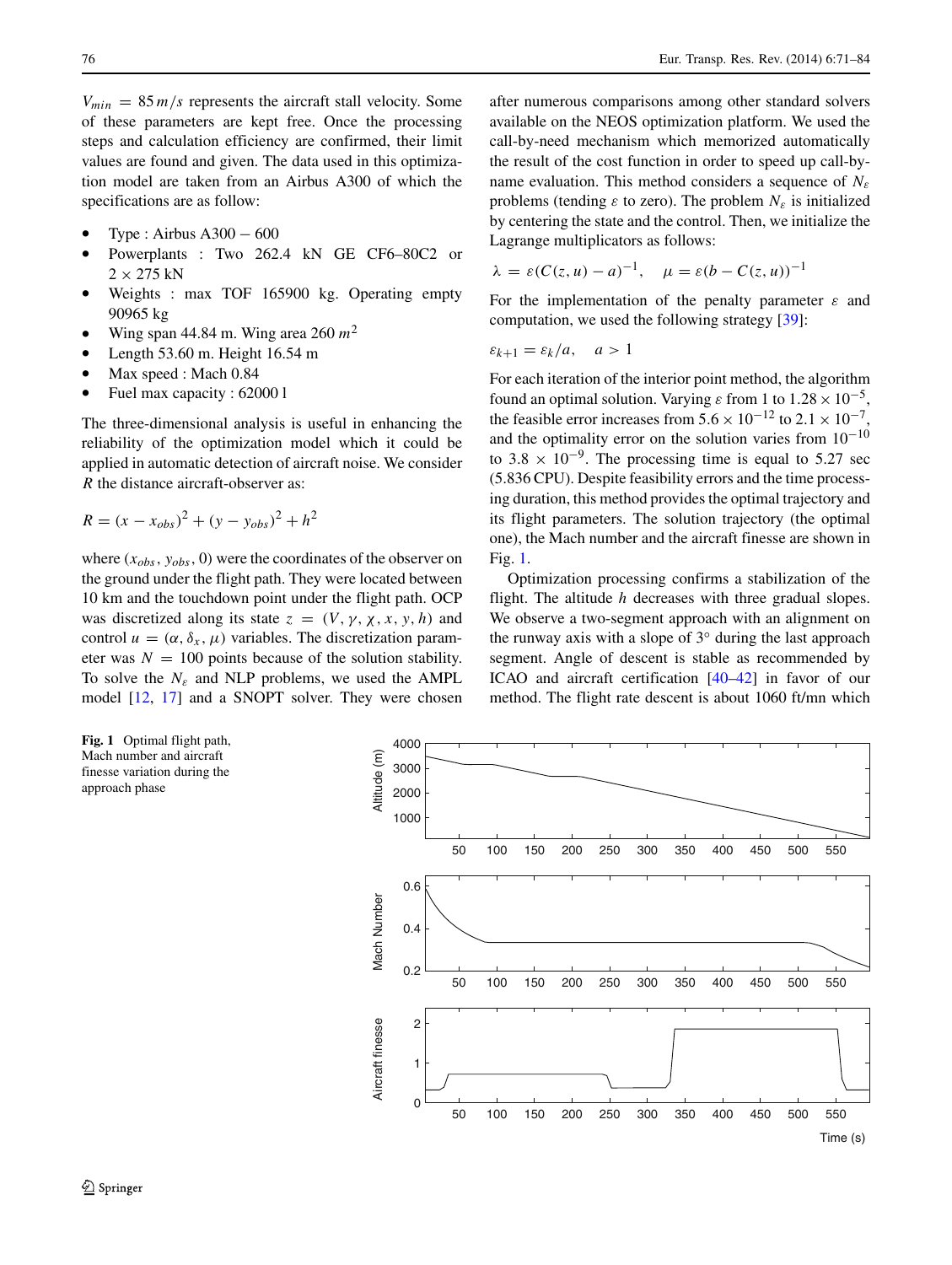$V_{min} = 85 \, m/s$  represents the aircraft stall velocity. Some of these parameters are kept free. Once the processing steps and calculation efficiency are confirmed, their limit values are found and given. The data used in this optimization model are taken from an Airbus A300 of which the specifications are as follow:

- Type : Airbus A300 − 600
- Powerplants : Two 262.4 kN GE CF6–80C2 or  $2 \times 275$  kN
- Weights : max TOF 165900 kg. Operating empty 90965 kg
- Wing span 44.84 m. Wing area 260 *m*<sup>2</sup>
- Length 53.60 m. Height 16.54 m
- Max speed : Mach 0.84
- Fuel max capacity : 62000 l

The three-dimensional analysis is useful in enhancing the reliability of the optimization model which it could be applied in automatic detection of aircraft noise. We consider *R* the distance aircraft-observer as:

$$
R = (x - x_{obs})^2 + (y - y_{obs})^2 + h^2
$$

where  $(x_{obs}, y_{obs}, 0)$  were the coordinates of the observer on the ground under the flight path. They were located between 10 km and the touchdown point under the flight path. OCP was discretized along its state  $z = (V, \gamma, \chi, x, y, h)$  and control  $u = (\alpha, \delta_x, \mu)$  variables. The discretization parameter was  $N = 100$  points because of the solution stability. To solve the  $N_{\varepsilon}$  and NLP problems, we used the AMPL model [\[12,](#page-12-9) [17\]](#page-12-2) and a SNOPT solver. They were chosen

<span id="page-5-0"></span>**Fig. 1** Optimal flight path, Mach number and aircraft finesse variation during the approach phase

after numerous comparisons among other standard solvers available on the NEOS optimization platform. We used the call-by-need mechanism which memorized automatically the result of the cost function in order to speed up call-byname evaluation. This method considers a sequence of *Nε* problems (tending  $\varepsilon$  to zero). The problem  $N_{\varepsilon}$  is initialized by centering the state and the control. Then, we initialize the Lagrange multiplicators as follows:

$$
\lambda = \varepsilon (C(z, u) - a)^{-1}, \quad \mu = \varepsilon (b - C(z, u))^{-1}
$$

For the implementation of the penalty parameter *ε* and computation, we used the following strategy [\[39\]](#page-13-15):

$$
\varepsilon_{k+1} = \varepsilon_k/a, \quad a > 1
$$

For each iteration of the interior point method, the algorithm found an optimal solution. Varying *<sup>ε</sup>* from 1 to 1*.*28×10−5, the feasible error increases from  $5.6 \times 10^{-12}$  to  $2.1 \times 10^{-7}$ , and the optimality error on the solution varies from  $10^{-10}$ to  $3.8 \times 10^{-9}$ . The processing time is equal to 5.27 sec (5.836 CPU). Despite feasibility errors and the time processing duration, this method provides the optimal trajectory and its flight parameters. The solution trajectory (the optimal one), the Mach number and the aircraft finesse are shown in Fig. [1.](#page-5-0)

Optimization processing confirms a stabilization of the flight. The altitude *h* decreases with three gradual slopes. We observe a two-segment approach with an alignment on the runway axis with a slope of 3◦ during the last approach segment. Angle of descent is stable as recommended by ICAO and aircraft certification [\[40](#page-13-16)[–42\]](#page-13-2) in favor of our method. The flight rate descent is about 1060 ft/mn which

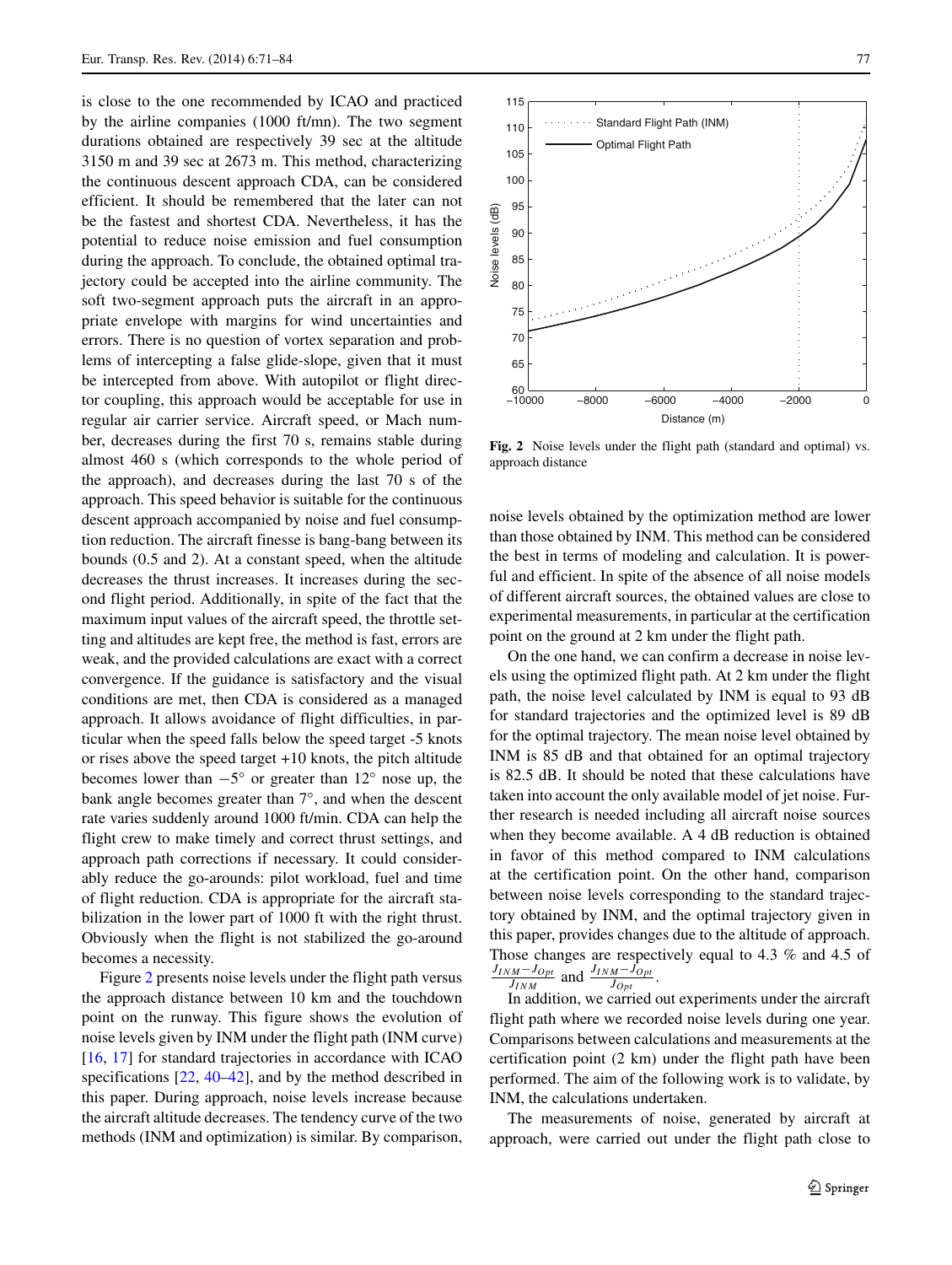is close to the one recommended by ICAO and practiced by the airline companies (1000 ft/mn). The two segment durations obtained are respectively 39 sec at the altitude 3150 m and 39 sec at 2673 m. This method, characterizing the continuous descent approach CDA, can be considered efficient. It should be remembered that the later can not be the fastest and shortest CDA. Nevertheless, it has the potential to reduce noise emission and fuel consumption during the approach. To conclude, the obtained optimal trajectory could be accepted into the airline community. The soft two-segment approach puts the aircraft in an appropriate envelope with margins for wind uncertainties and errors. There is no question of vortex separation and problems of intercepting a false glide-slope, given that it must be intercepted from above. With autopilot or flight director coupling, this approach would be acceptable for use in regular air carrier service. Aircraft speed, or Mach number, decreases during the first 70 s, remains stable during almost 460 s (which corresponds to the whole period of the approach), and decreases during the last 70 s of the approach. This speed behavior is suitable for the continuous descent approach accompanied by noise and fuel consumption reduction. The aircraft finesse is bang-bang between its bounds (0*.*5 and 2). At a constant speed, when the altitude decreases the thrust increases. It increases during the second flight period. Additionally, in spite of the fact that the maximum input values of the aircraft speed, the throttle setting and altitudes are kept free, the method is fast, errors are weak, and the provided calculations are exact with a correct convergence. If the guidance is satisfactory and the visual conditions are met, then CDA is considered as a managed approach. It allows avoidance of flight difficulties, in particular when the speed falls below the speed target -5 knots or rises above the speed target +10 knots, the pitch altitude becomes lower than  $-5^\circ$  or greater than  $12^\circ$  nose up, the bank angle becomes greater than 7◦, and when the descent rate varies suddenly around 1000 ft/min. CDA can help the flight crew to make timely and correct thrust settings, and approach path corrections if necessary. It could considerably reduce the go-arounds: pilot workload, fuel and time of flight reduction. CDA is appropriate for the aircraft stabilization in the lower part of 1000 ft with the right thrust. Obviously when the flight is not stabilized the go-around becomes a necessity.

Figure [2](#page-6-0) presents noise levels under the flight path versus the approach distance between 10 km and the touchdown point on the runway. This figure shows the evolution of noise levels given by INM under the flight path (INM curve) [\[16,](#page-12-12) [17\]](#page-12-2) for standard trajectories in accordance with ICAO specifications [\[22,](#page-13-6) [40–](#page-13-16)[42\]](#page-13-2), and by the method described in this paper. During approach, noise levels increase because the aircraft altitude decreases. The tendency curve of the two methods (INM and optimization) is similar. By comparison,

<span id="page-6-0"></span>

**Fig. 2** Noise levels under the flight path (standard and optimal) vs. approach distance

noise levels obtained by the optimization method are lower than those obtained by INM. This method can be considered the best in terms of modeling and calculation. It is powerful and efficient. In spite of the absence of all noise models of different aircraft sources, the obtained values are close to experimental measurements, in particular at the certification point on the ground at 2 km under the flight path.

On the one hand, we can confirm a decrease in noise levels using the optimized flight path. At 2 km under the flight path, the noise level calculated by INM is equal to 93 dB for standard trajectories and the optimized level is 89 dB for the optimal trajectory. The mean noise level obtained by INM is 85 dB and that obtained for an optimal trajectory is 82.5 dB. It should be noted that these calculations have taken into account the only available model of jet noise. Further research is needed including all aircraft noise sources when they become available. A 4 dB reduction is obtained in favor of this method compared to INM calculations at the certification point. On the other hand, comparison between noise levels corresponding to the standard trajectory obtained by INM, and the optimal trajectory given in this paper, provides changes due to the altitude of approach. Those changes are respectively equal to 4.3 % and 4.5 of  $\frac{J_{INM} - J_{Opt}}{J_{INM}}$  and  $\frac{J_{INM} - J_{Opt}}{J_{Opt}}$ .

In addition, we carried out experiments under the aircraft flight path where we recorded noise levels during one year. Comparisons between calculations and measurements at the certification point (2 km) under the flight path have been performed. The aim of the following work is to validate, by INM, the calculations undertaken.

The measurements of noise, generated by aircraft at approach, were carried out under the flight path close to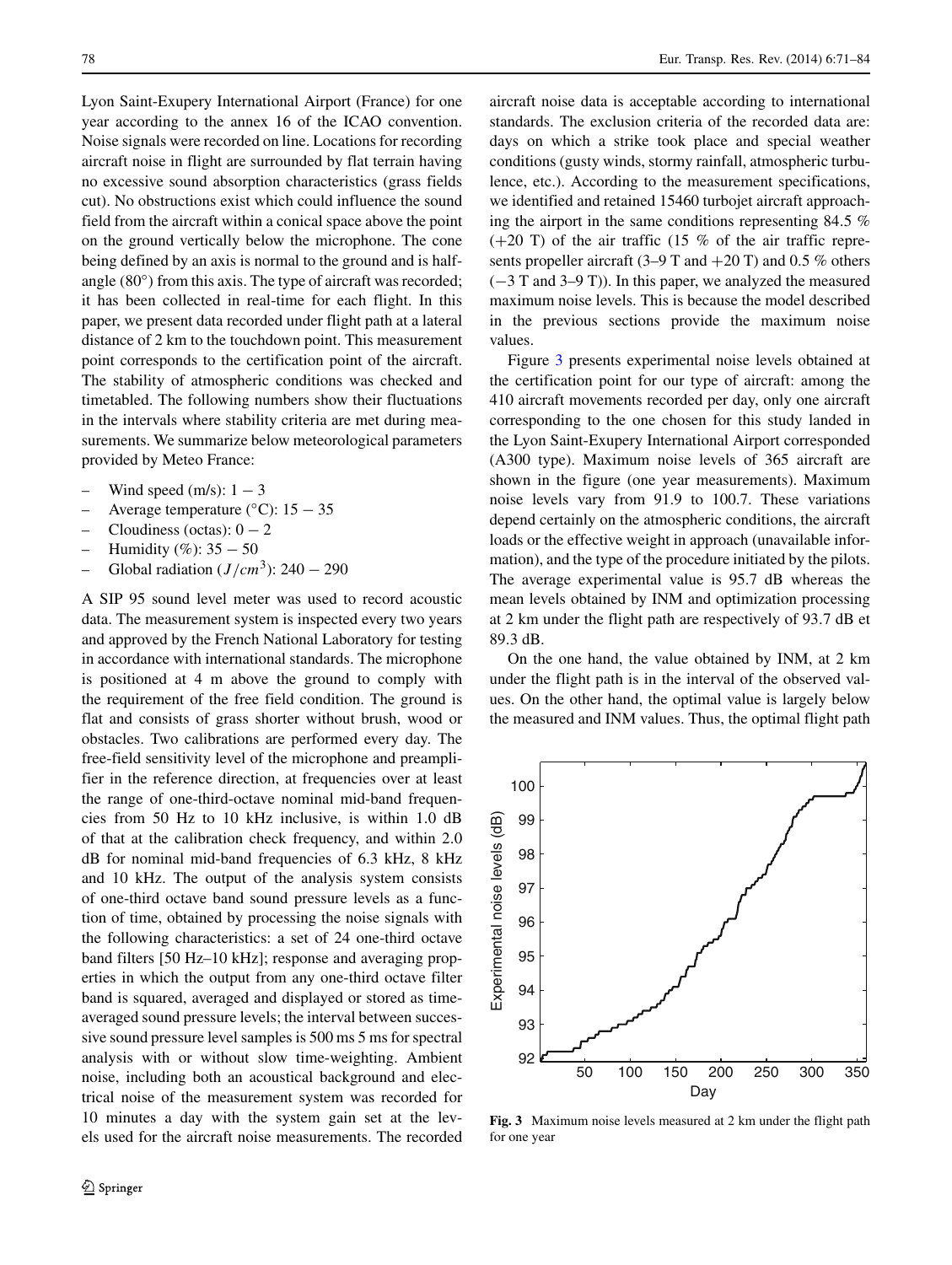Lyon Saint-Exupery International Airport (France) for one year according to the annex 16 of the ICAO convention. Noise signals were recorded on line. Locations for recording aircraft noise in flight are surrounded by flat terrain having no excessive sound absorption characteristics (grass fields cut). No obstructions exist which could influence the sound field from the aircraft within a conical space above the point on the ground vertically below the microphone. The cone being defined by an axis is normal to the ground and is halfangle  $(80°)$  from this axis. The type of aircraft was recorded; it has been collected in real-time for each flight. In this paper, we present data recorded under flight path at a lateral distance of 2 km to the touchdown point. This measurement point corresponds to the certification point of the aircraft. The stability of atmospheric conditions was checked and timetabled. The following numbers show their fluctuations in the intervals where stability criteria are met during measurements. We summarize below meteorological parameters provided by Meteo France:

- Wind speed (m/s):  $1 3$
- Average temperature ( $°C$ ): 15 35
- Cloudiness (octas):  $0 2$
- Humidity  $(\%): 35 50$
- Global radiation  $(J/cm^3)$ : 240 290

A SIP 95 sound level meter was used to record acoustic data. The measurement system is inspected every two years and approved by the French National Laboratory for testing in accordance with international standards. The microphone is positioned at 4 m above the ground to comply with the requirement of the free field condition. The ground is flat and consists of grass shorter without brush, wood or obstacles. Two calibrations are performed every day. The free-field sensitivity level of the microphone and preamplifier in the reference direction, at frequencies over at least the range of one-third-octave nominal mid-band frequencies from 50 Hz to 10 kHz inclusive, is within 1*.*0 dB of that at the calibration check frequency, and within 2*.*0 dB for nominal mid-band frequencies of 6.3 kHz, 8 kHz and 10 kHz. The output of the analysis system consists of one-third octave band sound pressure levels as a function of time, obtained by processing the noise signals with the following characteristics: a set of 24 one-third octave band filters [50 Hz–10 kHz]; response and averaging properties in which the output from any one-third octave filter band is squared, averaged and displayed or stored as timeaveraged sound pressure levels; the interval between successive sound pressure level samples is 500 ms 5 ms for spectral analysis with or without slow time-weighting. Ambient noise, including both an acoustical background and electrical noise of the measurement system was recorded for 10 minutes a day with the system gain set at the levels used for the aircraft noise measurements. The recorded aircraft noise data is acceptable according to international standards. The exclusion criteria of the recorded data are: days on which a strike took place and special weather conditions (gusty winds, stormy rainfall, atmospheric turbulence, etc.). According to the measurement specifications, we identified and retained 15460 turbojet aircraft approaching the airport in the same conditions representing 84*.*5 %  $(+20)$  T) of the air traffic (15 % of the air traffic represents propeller aircraft (3–9 T and +20 T) and 0*.*5 % others (−3 T and 3–9 T)). In this paper, we analyzed the measured maximum noise levels. This is because the model described in the previous sections provide the maximum noise values.

Figure [3](#page-7-0) presents experimental noise levels obtained at the certification point for our type of aircraft: among the 410 aircraft movements recorded per day, only one aircraft corresponding to the one chosen for this study landed in the Lyon Saint-Exupery International Airport corresponded (A300 type). Maximum noise levels of 365 aircraft are shown in the figure (one year measurements). Maximum noise levels vary from 91.9 to 100.7. These variations depend certainly on the atmospheric conditions, the aircraft loads or the effective weight in approach (unavailable information), and the type of the procedure initiated by the pilots. The average experimental value is 95.7 dB whereas the mean levels obtained by INM and optimization processing at 2 km under the flight path are respectively of 93*.*7 dB et 89*.*3 dB.

On the one hand, the value obtained by INM, at 2 km under the flight path is in the interval of the observed values. On the other hand, the optimal value is largely below the measured and INM values. Thus, the optimal flight path

<span id="page-7-0"></span>

**Fig. 3** Maximum noise levels measured at 2 km under the flight path for one year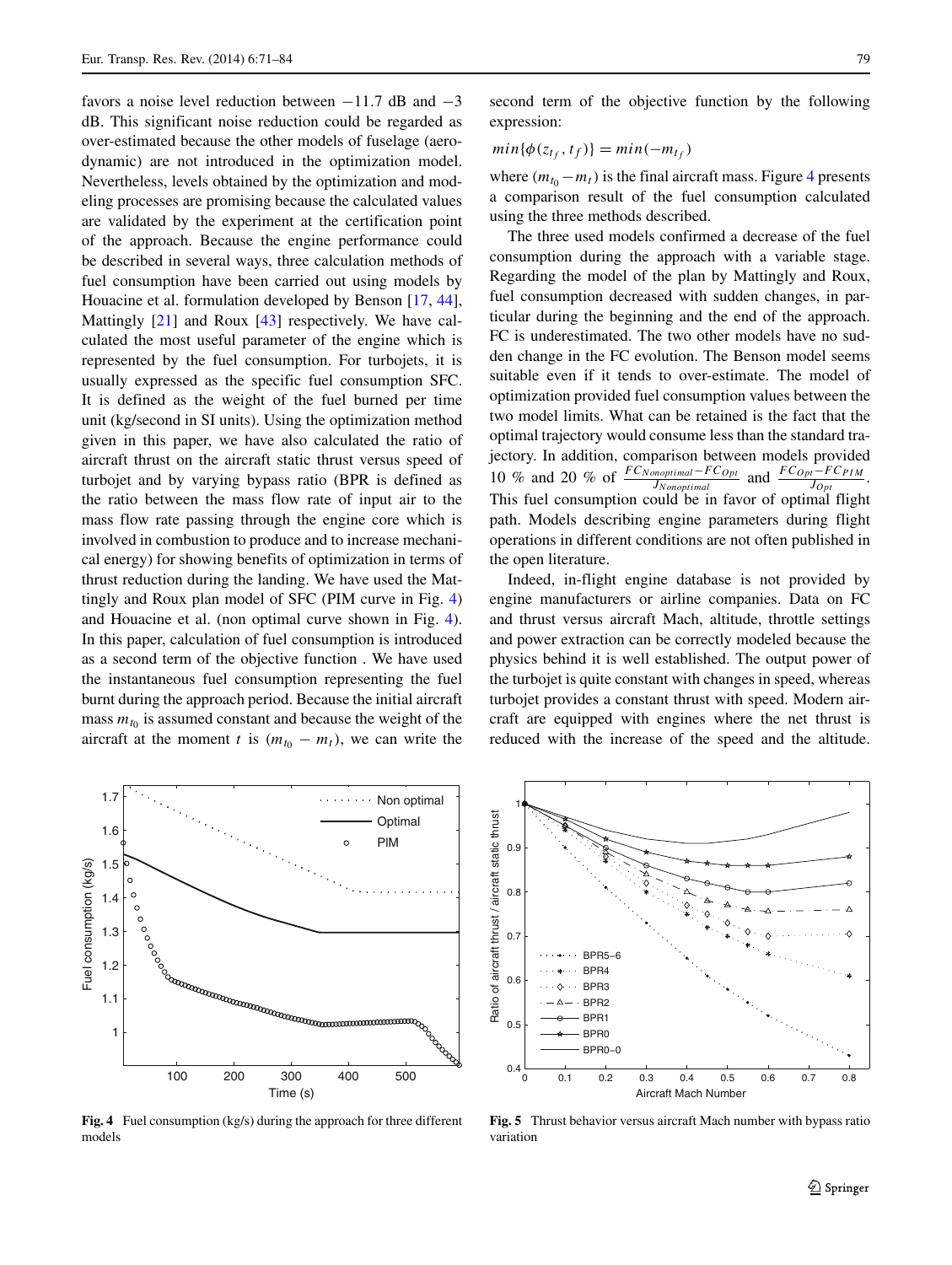favors a noise level reduction between −11*.*7 dB and −3 dB. This significant noise reduction could be regarded as over-estimated because the other models of fuselage (aerodynamic) are not introduced in the optimization model. Nevertheless, levels obtained by the optimization and modeling processes are promising because the calculated values are validated by the experiment at the certification point of the approach. Because the engine performance could be described in several ways, three calculation methods of fuel consumption have been carried out using models by Houacine et al. formulation developed by Benson [\[17,](#page-12-2) [44\]](#page-13-17), Mattingly [\[21\]](#page-13-5) and Roux [\[43\]](#page-13-18) respectively. We have calculated the most useful parameter of the engine which is represented by the fuel consumption. For turbojets, it is usually expressed as the specific fuel consumption SFC. It is defined as the weight of the fuel burned per time unit (kg/second in SI units). Using the optimization method given in this paper, we have also calculated the ratio of aircraft thrust on the aircraft static thrust versus speed of turbojet and by varying bypass ratio (BPR is defined as the ratio between the mass flow rate of input air to the mass flow rate passing through the engine core which is involved in combustion to produce and to increase mechanical energy) for showing benefits of optimization in terms of thrust reduction during the landing. We have used the Mattingly and Roux plan model of SFC (PIM curve in Fig. [4\)](#page-8-0) and Houacine et al. (non optimal curve shown in Fig. [4\)](#page-8-0). In this paper, calculation of fuel consumption is introduced as a second term of the objective function . We have used the instantaneous fuel consumption representing the fuel burnt during the approach period. Because the initial aircraft mass  $m_{t_0}$  is assumed constant and because the weight of the aircraft at the moment *t* is  $(m_{t_0} - m_t)$ , we can write the second term of the objective function by the following expression:

$$
min{\lbrace \phi(z_{t_f}, t_f) \rbrace} = min(-m_{t_f})
$$

where  $(m_{t_0} - m_t)$  is the final aircraft mass. Figure [4](#page-8-0) presents a comparison result of the fuel consumption calculated using the three methods described.

The three used models confirmed a decrease of the fuel consumption during the approach with a variable stage. Regarding the model of the plan by Mattingly and Roux, fuel consumption decreased with sudden changes, in particular during the beginning and the end of the approach. FC is underestimated. The two other models have no sudden change in the FC evolution. The Benson model seems suitable even if it tends to over-estimate. The model of optimization provided fuel consumption values between the two model limits. What can be retained is the fact that the optimal trajectory would consume less than the standard trajectory. In addition, comparison between models provided 10 % and 20 % of  $\frac{FC_{Nonoptimal} - FC_{Opt}}{J_{Nonoptimal}}$  and  $\frac{FC_{Opt} - FC_{PIM}}{J_{Opt}}$ . This fuel consumption could be in favor of optimal flight path. Models describing engine parameters during flight operations in different conditions are not often published in the open literature.

Indeed, in-flight engine database is not provided by engine manufacturers or airline companies. Data on FC and thrust versus aircraft Mach, altitude, throttle settings and power extraction can be correctly modeled because the physics behind it is well established. The output power of the turbojet is quite constant with changes in speed, whereas turbojet provides a constant thrust with speed. Modern aircraft are equipped with engines where the net thrust is reduced with the increase of the speed and the altitude.

<span id="page-8-0"></span>

**Fig. 4** Fuel consumption (kg/s) during the approach for three different models

<span id="page-8-1"></span>

**Fig. 5** Thrust behavior versus aircraft Mach number with bypass ratio variation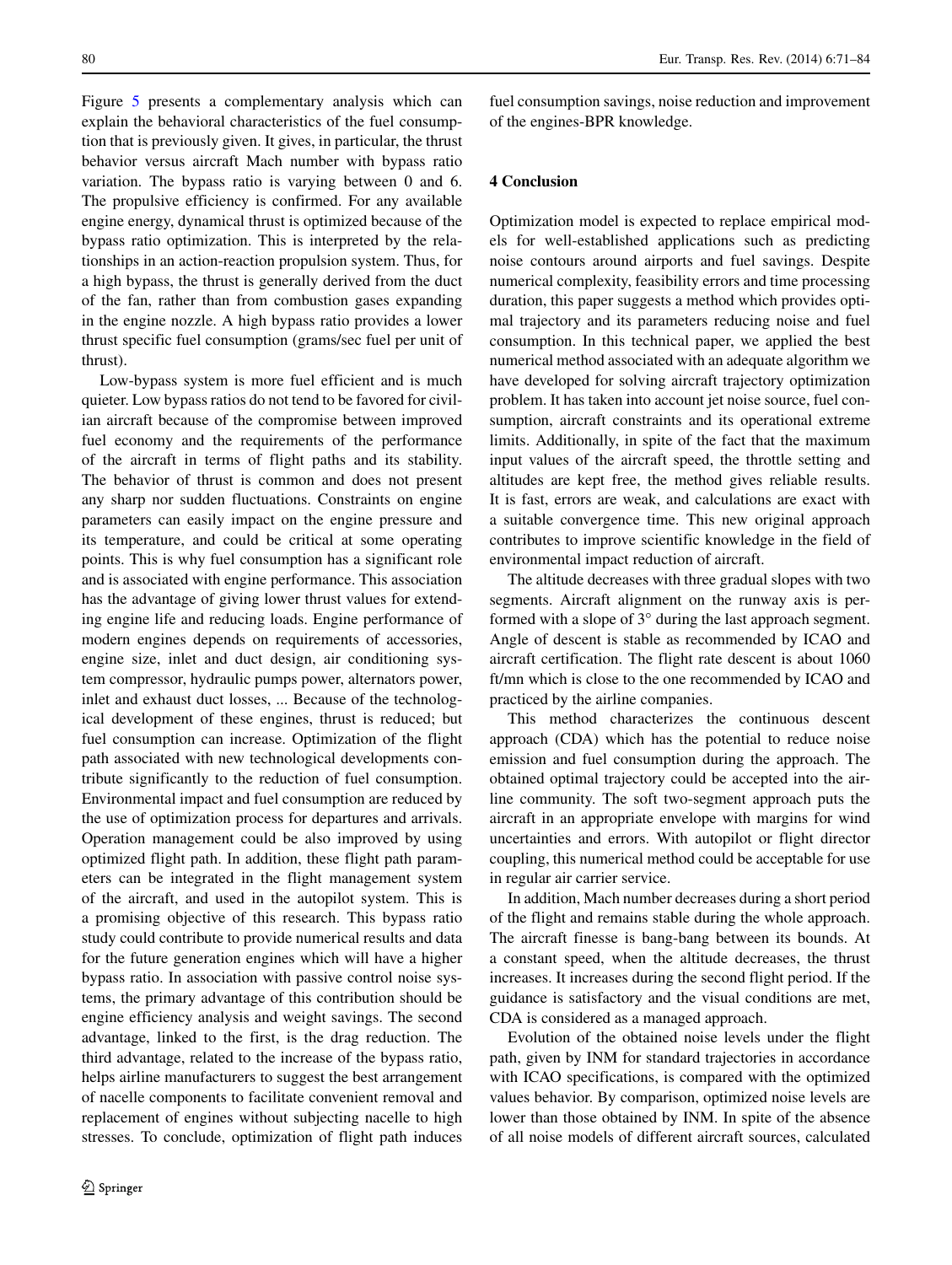Figure [5](#page-8-1) presents a complementary analysis which can explain the behavioral characteristics of the fuel consumption that is previously given. It gives, in particular, the thrust behavior versus aircraft Mach number with bypass ratio variation. The bypass ratio is varying between 0 and 6. The propulsive efficiency is confirmed. For any available engine energy, dynamical thrust is optimized because of the bypass ratio optimization. This is interpreted by the relationships in an action-reaction propulsion system. Thus, for a high bypass, the thrust is generally derived from the duct of the fan, rather than from combustion gases expanding in the engine nozzle. A high bypass ratio provides a lower thrust specific fuel consumption (grams/sec fuel per unit of thrust).

Low-bypass system is more fuel efficient and is much quieter. Low bypass ratios do not tend to be favored for civilian aircraft because of the compromise between improved fuel economy and the requirements of the performance of the aircraft in terms of flight paths and its stability. The behavior of thrust is common and does not present any sharp nor sudden fluctuations. Constraints on engine parameters can easily impact on the engine pressure and its temperature, and could be critical at some operating points. This is why fuel consumption has a significant role and is associated with engine performance. This association has the advantage of giving lower thrust values for extending engine life and reducing loads. Engine performance of modern engines depends on requirements of accessories, engine size, inlet and duct design, air conditioning system compressor, hydraulic pumps power, alternators power, inlet and exhaust duct losses, ... Because of the technological development of these engines, thrust is reduced; but fuel consumption can increase. Optimization of the flight path associated with new technological developments contribute significantly to the reduction of fuel consumption. Environmental impact and fuel consumption are reduced by the use of optimization process for departures and arrivals. Operation management could be also improved by using optimized flight path. In addition, these flight path parameters can be integrated in the flight management system of the aircraft, and used in the autopilot system. This is a promising objective of this research. This bypass ratio study could contribute to provide numerical results and data for the future generation engines which will have a higher bypass ratio. In association with passive control noise systems, the primary advantage of this contribution should be engine efficiency analysis and weight savings. The second advantage, linked to the first, is the drag reduction. The third advantage, related to the increase of the bypass ratio, helps airline manufacturers to suggest the best arrangement of nacelle components to facilitate convenient removal and replacement of engines without subjecting nacelle to high stresses. To conclude, optimization of flight path induces fuel consumption savings, noise reduction and improvement of the engines-BPR knowledge.

## **4 Conclusion**

Optimization model is expected to replace empirical models for well-established applications such as predicting noise contours around airports and fuel savings. Despite numerical complexity, feasibility errors and time processing duration, this paper suggests a method which provides optimal trajectory and its parameters reducing noise and fuel consumption. In this technical paper, we applied the best numerical method associated with an adequate algorithm we have developed for solving aircraft trajectory optimization problem. It has taken into account jet noise source, fuel consumption, aircraft constraints and its operational extreme limits. Additionally, in spite of the fact that the maximum input values of the aircraft speed, the throttle setting and altitudes are kept free, the method gives reliable results. It is fast, errors are weak, and calculations are exact with a suitable convergence time. This new original approach contributes to improve scientific knowledge in the field of environmental impact reduction of aircraft.

The altitude decreases with three gradual slopes with two segments. Aircraft alignment on the runway axis is performed with a slope of 3◦ during the last approach segment. Angle of descent is stable as recommended by ICAO and aircraft certification. The flight rate descent is about 1060 ft/mn which is close to the one recommended by ICAO and practiced by the airline companies.

This method characterizes the continuous descent approach (CDA) which has the potential to reduce noise emission and fuel consumption during the approach. The obtained optimal trajectory could be accepted into the airline community. The soft two-segment approach puts the aircraft in an appropriate envelope with margins for wind uncertainties and errors. With autopilot or flight director coupling, this numerical method could be acceptable for use in regular air carrier service.

In addition, Mach number decreases during a short period of the flight and remains stable during the whole approach. The aircraft finesse is bang-bang between its bounds. At a constant speed, when the altitude decreases, the thrust increases. It increases during the second flight period. If the guidance is satisfactory and the visual conditions are met, CDA is considered as a managed approach.

Evolution of the obtained noise levels under the flight path, given by INM for standard trajectories in accordance with ICAO specifications, is compared with the optimized values behavior. By comparison, optimized noise levels are lower than those obtained by INM. In spite of the absence of all noise models of different aircraft sources, calculated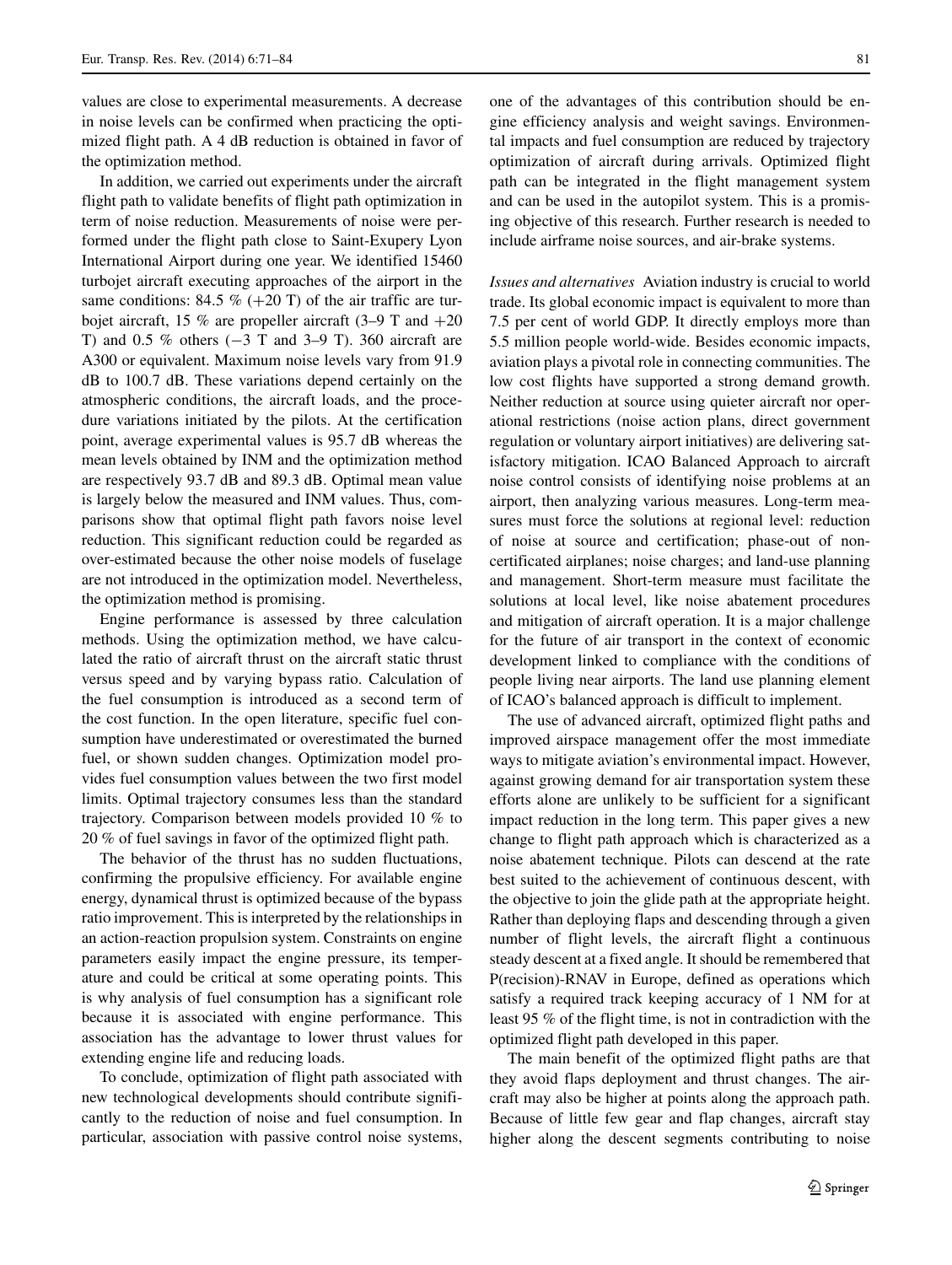values are close to experimental measurements. A decrease in noise levels can be confirmed when practicing the optimized flight path. A 4 dB reduction is obtained in favor of the optimization method.

In addition, we carried out experiments under the aircraft flight path to validate benefits of flight path optimization in term of noise reduction. Measurements of noise were performed under the flight path close to Saint-Exupery Lyon International Airport during one year. We identified 15460 turbojet aircraft executing approaches of the airport in the same conditions: 84.5  $% (+20 T)$  of the air traffic are turbojet aircraft, 15 % are propeller aircraft (3–9 T and  $+20$ T) and 0*.*5 % others (−3 T and 3–9 T). 360 aircraft are A300 or equivalent. Maximum noise levels vary from 91.9 dB to 100.7 dB. These variations depend certainly on the atmospheric conditions, the aircraft loads, and the procedure variations initiated by the pilots. At the certification point, average experimental values is 95.7 dB whereas the mean levels obtained by INM and the optimization method are respectively 93*.*7 dB and 89*.*3 dB. Optimal mean value is largely below the measured and INM values. Thus, comparisons show that optimal flight path favors noise level reduction. This significant reduction could be regarded as over-estimated because the other noise models of fuselage are not introduced in the optimization model. Nevertheless, the optimization method is promising.

Engine performance is assessed by three calculation methods. Using the optimization method, we have calculated the ratio of aircraft thrust on the aircraft static thrust versus speed and by varying bypass ratio. Calculation of the fuel consumption is introduced as a second term of the cost function. In the open literature, specific fuel consumption have underestimated or overestimated the burned fuel, or shown sudden changes. Optimization model provides fuel consumption values between the two first model limits. Optimal trajectory consumes less than the standard trajectory. Comparison between models provided 10 % to 20 % of fuel savings in favor of the optimized flight path.

The behavior of the thrust has no sudden fluctuations, confirming the propulsive efficiency. For available engine energy, dynamical thrust is optimized because of the bypass ratio improvement. This is interpreted by the relationships in an action-reaction propulsion system. Constraints on engine parameters easily impact the engine pressure, its temperature and could be critical at some operating points. This is why analysis of fuel consumption has a significant role because it is associated with engine performance. This association has the advantage to lower thrust values for extending engine life and reducing loads.

To conclude, optimization of flight path associated with new technological developments should contribute significantly to the reduction of noise and fuel consumption. In particular, association with passive control noise systems,

one of the advantages of this contribution should be engine efficiency analysis and weight savings. Environmental impacts and fuel consumption are reduced by trajectory optimization of aircraft during arrivals. Optimized flight path can be integrated in the flight management system and can be used in the autopilot system. This is a promising objective of this research. Further research is needed to include airframe noise sources, and air-brake systems.

*Issues and alternatives* Aviation industry is crucial to world trade. Its global economic impact is equivalent to more than 7.5 per cent of world GDP. It directly employs more than 5.5 million people world-wide. Besides economic impacts, aviation plays a pivotal role in connecting communities. The low cost flights have supported a strong demand growth. Neither reduction at source using quieter aircraft nor operational restrictions (noise action plans, direct government regulation or voluntary airport initiatives) are delivering satisfactory mitigation. ICAO Balanced Approach to aircraft noise control consists of identifying noise problems at an airport, then analyzing various measures. Long-term measures must force the solutions at regional level: reduction of noise at source and certification; phase-out of noncertificated airplanes; noise charges; and land-use planning and management. Short-term measure must facilitate the solutions at local level, like noise abatement procedures and mitigation of aircraft operation. It is a major challenge for the future of air transport in the context of economic development linked to compliance with the conditions of people living near airports. The land use planning element of ICAO's balanced approach is difficult to implement.

The use of advanced aircraft, optimized flight paths and improved airspace management offer the most immediate ways to mitigate aviation's environmental impact. However, against growing demand for air transportation system these efforts alone are unlikely to be sufficient for a significant impact reduction in the long term. This paper gives a new change to flight path approach which is characterized as a noise abatement technique. Pilots can descend at the rate best suited to the achievement of continuous descent, with the objective to join the glide path at the appropriate height. Rather than deploying flaps and descending through a given number of flight levels, the aircraft flight a continuous steady descent at a fixed angle. It should be remembered that P(recision)-RNAV in Europe, defined as operations which satisfy a required track keeping accuracy of 1 NM for at least 95 % of the flight time, is not in contradiction with the optimized flight path developed in this paper.

The main benefit of the optimized flight paths are that they avoid flaps deployment and thrust changes. The aircraft may also be higher at points along the approach path. Because of little few gear and flap changes, aircraft stay higher along the descent segments contributing to noise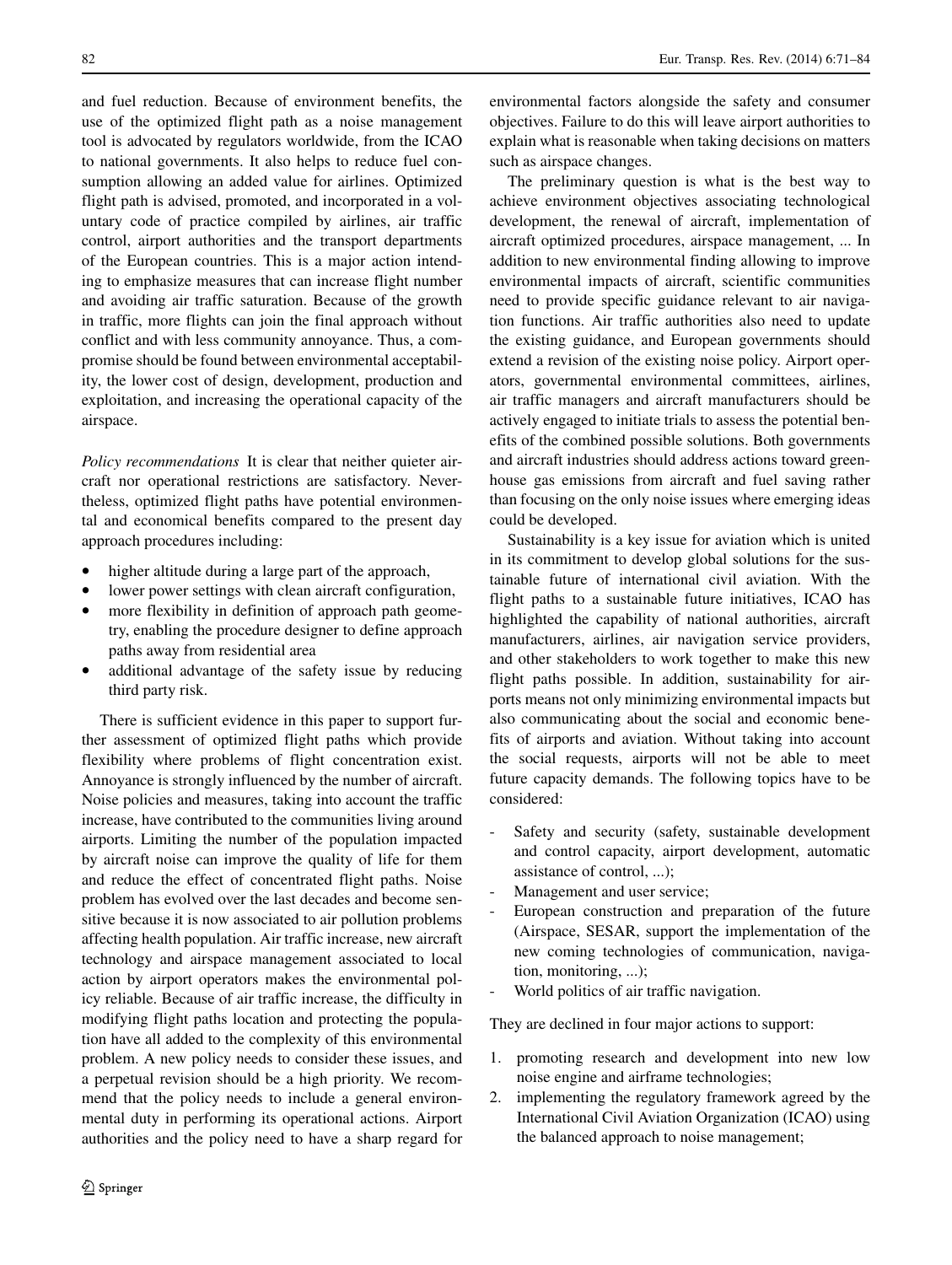and fuel reduction. Because of environment benefits, the use of the optimized flight path as a noise management tool is advocated by regulators worldwide, from the ICAO to national governments. It also helps to reduce fuel consumption allowing an added value for airlines. Optimized flight path is advised, promoted, and incorporated in a voluntary code of practice compiled by airlines, air traffic control, airport authorities and the transport departments of the European countries. This is a major action intending to emphasize measures that can increase flight number and avoiding air traffic saturation. Because of the growth in traffic, more flights can join the final approach without conflict and with less community annoyance. Thus, a compromise should be found between environmental acceptability, the lower cost of design, development, production and exploitation, and increasing the operational capacity of the airspace.

*Policy recommendations* It is clear that neither quieter aircraft nor operational restrictions are satisfactory. Nevertheless, optimized flight paths have potential environmental and economical benefits compared to the present day approach procedures including:

- higher altitude during a large part of the approach,
- lower power settings with clean aircraft configuration,
- more flexibility in definition of approach path geometry, enabling the procedure designer to define approach paths away from residential area
- additional advantage of the safety issue by reducing third party risk.

There is sufficient evidence in this paper to support further assessment of optimized flight paths which provide flexibility where problems of flight concentration exist. Annoyance is strongly influenced by the number of aircraft. Noise policies and measures, taking into account the traffic increase, have contributed to the communities living around airports. Limiting the number of the population impacted by aircraft noise can improve the quality of life for them and reduce the effect of concentrated flight paths. Noise problem has evolved over the last decades and become sensitive because it is now associated to air pollution problems affecting health population. Air traffic increase, new aircraft technology and airspace management associated to local action by airport operators makes the environmental policy reliable. Because of air traffic increase, the difficulty in modifying flight paths location and protecting the population have all added to the complexity of this environmental problem. A new policy needs to consider these issues, and a perpetual revision should be a high priority. We recommend that the policy needs to include a general environmental duty in performing its operational actions. Airport authorities and the policy need to have a sharp regard for environmental factors alongside the safety and consumer objectives. Failure to do this will leave airport authorities to explain what is reasonable when taking decisions on matters such as airspace changes.

The preliminary question is what is the best way to achieve environment objectives associating technological development, the renewal of aircraft, implementation of aircraft optimized procedures, airspace management, ... In addition to new environmental finding allowing to improve environmental impacts of aircraft, scientific communities need to provide specific guidance relevant to air navigation functions. Air traffic authorities also need to update the existing guidance, and European governments should extend a revision of the existing noise policy. Airport operators, governmental environmental committees, airlines, air traffic managers and aircraft manufacturers should be actively engaged to initiate trials to assess the potential benefits of the combined possible solutions. Both governments and aircraft industries should address actions toward greenhouse gas emissions from aircraft and fuel saving rather than focusing on the only noise issues where emerging ideas could be developed.

Sustainability is a key issue for aviation which is united in its commitment to develop global solutions for the sustainable future of international civil aviation. With the flight paths to a sustainable future initiatives, ICAO has highlighted the capability of national authorities, aircraft manufacturers, airlines, air navigation service providers, and other stakeholders to work together to make this new flight paths possible. In addition, sustainability for airports means not only minimizing environmental impacts but also communicating about the social and economic benefits of airports and aviation. Without taking into account the social requests, airports will not be able to meet future capacity demands. The following topics have to be considered:

- Safety and security (safety, sustainable development and control capacity, airport development, automatic assistance of control, ...);
- Management and user service;
- European construction and preparation of the future (Airspace, SESAR, support the implementation of the new coming technologies of communication, navigation, monitoring, ...);
- World politics of air traffic navigation.

They are declined in four major actions to support:

- 1. promoting research and development into new low noise engine and airframe technologies;
- 2. implementing the regulatory framework agreed by the International Civil Aviation Organization (ICAO) using the balanced approach to noise management;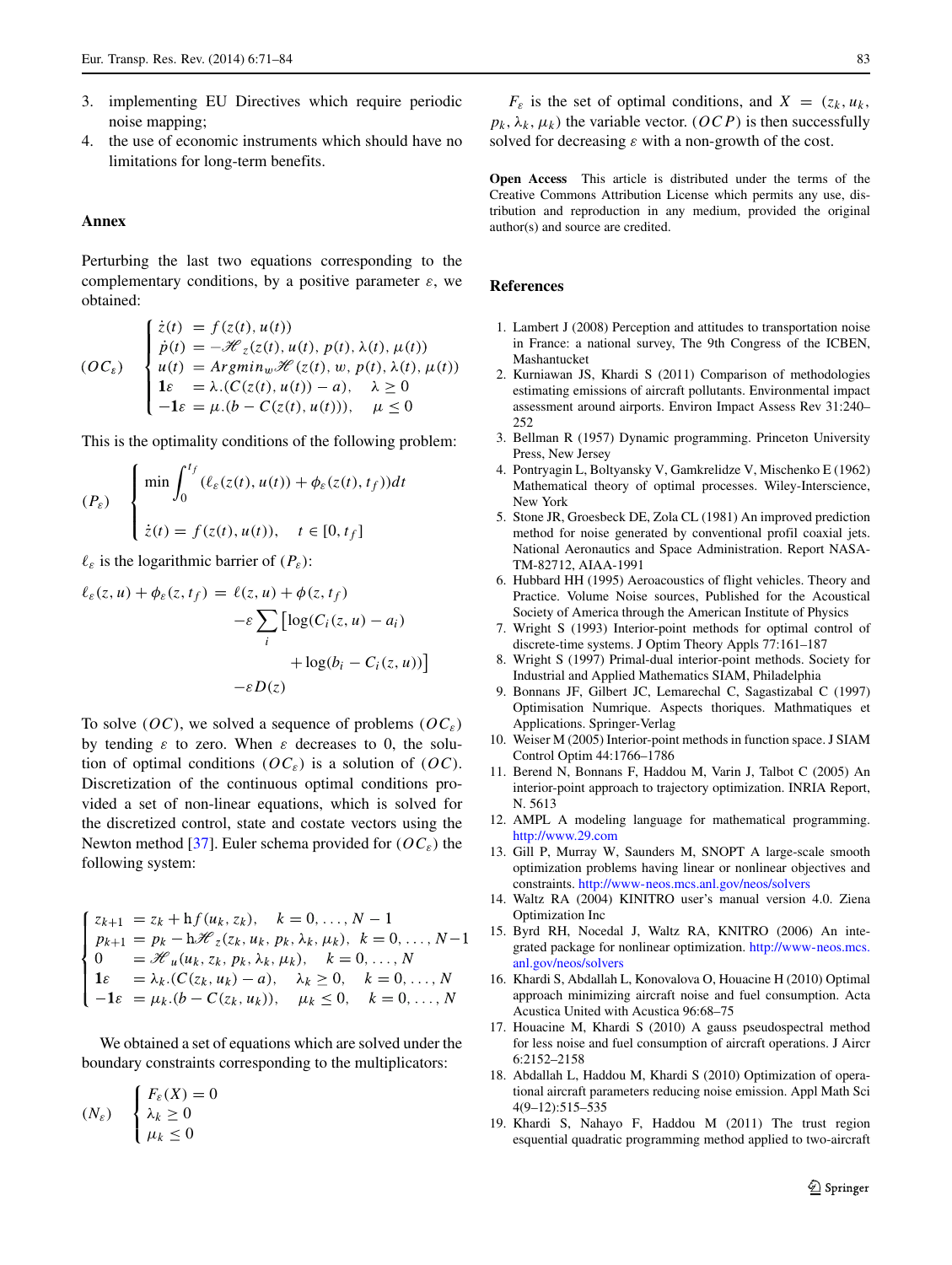- 3. implementing EU Directives which require periodic noise mapping;
- 4. the use of economic instruments which should have no limitations for long-term benefits.

#### **Annex**

Perturbing the last two equations corresponding to the complementary conditions, by a positive parameter *ε*, we obtained:

$$
(OC_{\varepsilon}) \quad \begin{cases} \n\dot{z}(t) = f(z(t), u(t)) \\ \n\dot{p}(t) = -\mathcal{H}_z(z(t), u(t), p(t), \lambda(t), \mu(t)) \\ \nu(t) = \operatorname{Argmin}_w \mathcal{H}(z(t), w, p(t), \lambda(t), \mu(t)) \\ \n1\varepsilon = \lambda \cdot (C(z(t), u(t)) - a), \quad \lambda \ge 0 \\ \n-1\varepsilon = \mu \cdot (b - C(z(t), u(t))), \quad \mu \le 0 \n\end{cases}
$$

This is the optimality conditions of the following problem:

$$
(P_{\varepsilon}) \quad \begin{cases} \min \int_0^{t_f} (\ell_{\varepsilon}(z(t), u(t)) + \phi_{\varepsilon}(z(t), t_f)) dt \\ \vdots \\ \dot{z}(t) = f(z(t), u(t)), \quad t \in [0, t_f] \end{cases}
$$

$$
\left( \begin{array}{cc} 0 & 0 \\ 0 & 0 \end{array} \right) \left( \begin{array}{c} 0 & 0 \\ 0 & 0 \end{array} \right) \left( \begin{array}{c} 0 & 0 \\ 0 & 0 \end{array} \right) \left( \begin{array}{c} 0 & 0 \\ 0 & 0 \end{array} \right) \left( \begin{array}{c} 0 & 0 \\ 0 & 0 \end{array} \right) \left( \begin{array}{c} 0 & 0 \\ 0 & 0 \end{array} \right) \left( \begin{array}{c} 0 & 0 \\ 0 & 0 \end{array} \right) \left( \begin{array}{c} 0 & 0 \\ 0 & 0 \end{array} \right) \left( \begin{array}{c} 0 & 0 \\ 0 & 0 \end{array} \right) \left( \begin{array}{c} 0 & 0 \\ 0 & 0 \end{array} \right) \left( \begin{array}{c} 0 & 0 \\ 0 & 0 \end{array} \right) \left( \begin{array}{c} 0 & 0 \\ 0 & 0 \end{array} \right) \left( \begin{array}{c} 0 & 0 \\ 0 & 0 \end{array} \right) \left( \begin{array}{c} 0 & 0 \\ 0 & 0 \end{array} \right) \left( \begin{array}{c} 0 & 0 \\ 0 & 0 \end{array} \right) \left( \begin{array}{c} 0 & 0 \\ 0 & 0 \end{array} \right) \left( \begin{array}{c} 0 & 0 \\ 0 & 0 \end{array} \right) \left( \begin{array}{c} 0 & 0 \\ 0 & 0 \end{array} \right) \left( \begin{array}{c} 0 & 0 \\ 0 & 0 \end{array} \right) \left( \begin{array}{c} 0 & 0 \\ 0 & 0 \end{array} \right) \left( \begin{array}{c} 0 & 0 \\ 0 & 0 \end{array} \right) \left( \begin{array}{c} 0 & 0 \\ 0 & 0 \end{array} \right) \left( \begin{array}{c} 0 & 0 \\ 0 & 0 \end{array} \right) \left( \begin{array}{c} 0 & 0 \\ 0 & 0 \end{array} \right) \left( \begin{array}{c} 0 & 0 \\ 0 & 0 \end{array} \right) \left( \begin{array}{c} 0 & 0 \\ 0 & 0 \end{array} \right) \left( \begin{
$$

 $\ell_{\varepsilon}$  is the logarithmic barrier of  $(P_{\varepsilon})$ :

$$
\ell_{\varepsilon}(z, u) + \phi_{\varepsilon}(z, t_f) = \ell(z, u) + \phi(z, t_f)
$$

$$
-\varepsilon \sum_{i} \left[ \log(C_i(z, u) - a_i) + \log(b_i - C_i(z, u)) \right]
$$

$$
-\varepsilon D(z)
$$

To solve *(OC)*, we solved a sequence of problems *(OCε)* by tending *ε* to zero. When *ε* decreases to 0, the solution of optimal conditions  $(OC_{\varepsilon})$  is a solution of  $(OC)$ . Discretization of the continuous optimal conditions provided a set of non-linear equations, which is solved for the discretized control, state and costate vectors using the Newton method [\[37\]](#page-13-13). Euler schema provided for  $(OC_{\varepsilon})$  the following system:

$$
\begin{cases}\nz_{k+1} = z_k + h f(u_k, z_k), & k = 0, ..., N-1 \\
p_{k+1} = p_k - h \mathcal{H}_z(z_k, u_k, p_k, \lambda_k, \mu_k), & k = 0, ..., N-1 \\
0 = \mathcal{H}_u(u_k, z_k, p_k, \lambda_k, \mu_k), & k = 0, ..., N \\
1\varepsilon = \lambda_k . (C(z_k, u_k) - a), & \lambda_k \ge 0, & k = 0, ..., N \\
-1\varepsilon = \mu_k . (b - C(z_k, u_k)), & \mu_k \le 0, & k = 0, ..., N\n\end{cases}
$$

We obtained a set of equations which are solved under the boundary constraints corresponding to the multiplicators:

$$
(N_{\varepsilon}) \quad \begin{cases} F_{\varepsilon}(X) = 0 \\ \lambda_k \ge 0 \\ \mu_k \le 0 \end{cases}
$$

 $F_{\varepsilon}$  is the set of optimal conditions, and  $X = (z_k, u_k,$  $p_k, \lambda_k, \mu_k$ ) the variable vector. *(OCP)* is then successfully solved for decreasing *ε* with a non-growth of the cost.

**Open Access** This article is distributed under the terms of the Creative Commons Attribution License which permits any use, distribution and reproduction in any medium, provided the original author(s) and source are credited.

#### **References**

- <span id="page-12-0"></span>1. Lambert J (2008) Perception and attitudes to transportation noise in France: a national survey, The 9th Congress of the ICBEN, Mashantucket
- <span id="page-12-1"></span>2. Kurniawan JS, Khardi S (2011) Comparison of methodologies estimating emissions of aircraft pollutants. Environmental impact assessment around airports. Environ Impact Assess Rev 31:240– 252
- <span id="page-12-3"></span>3. Bellman R (1957) Dynamic programming. Princeton University Press, New Jersey
- <span id="page-12-4"></span>4. Pontryagin L, Boltyansky V, Gamkrelidze V, Mischenko E (1962) Mathematical theory of optimal processes. Wiley-Interscience, New York
- <span id="page-12-5"></span>5. Stone JR, Groesbeck DE, Zola CL (1981) An improved prediction method for noise generated by conventional profil coaxial jets. National Aeronautics and Space Administration. Report NASA-TM-82712, AIAA-1991
- <span id="page-12-6"></span>6. Hubbard HH (1995) Aeroacoustics of flight vehicles. Theory and Practice. Volume Noise sources, Published for the Acoustical Society of America through the American Institute of Physics
- <span id="page-12-7"></span>7. Wright S (1993) Interior-point methods for optimal control of discrete-time systems. J Optim Theory Appls 77:161–187
- 8. Wright S (1997) Primal-dual interior-point methods. Society for Industrial and Applied Mathematics SIAM, Philadelphia
- 9. Bonnans JF, Gilbert JC, Lemarechal C, Sagastizabal C (1997) Optimisation Numrique. Aspects thoriques. Mathmatiques et Applications. Springer-Verlag
- <span id="page-12-14"></span>10. Weiser M (2005) Interior-point methods in function space. J SIAM Control Optim 44:1766–1786
- <span id="page-12-8"></span>11. Berend N, Bonnans F, Haddou M, Varin J, Talbot C (2005) An interior-point approach to trajectory optimization. INRIA Report, N. 5613
- <span id="page-12-9"></span>12. AMPL A modeling language for mathematical programming. <http://www.29.com>
- <span id="page-12-10"></span>13. Gill P, Murray W, Saunders M, SNOPT A large-scale smooth optimization problems having linear or nonlinear objectives and constraints. <http://www-neos.mcs.anl.gov/neos/solvers>
- 14. Waltz RA (2004) KINITRO user's manual version 4.0. Ziena Optimization Inc
- <span id="page-12-11"></span>15. Byrd RH, Nocedal J, Waltz RA, KNITRO (2006) An integrated package for nonlinear optimization. [http://www-neos.mcs.](http://www-neos.mcs.anl.gov/neos/solvers) [anl.gov/neos/solvers](http://www-neos.mcs.anl.gov/neos/solvers)
- <span id="page-12-12"></span>16. Khardi S, Abdallah L, Konovalova O, Houacine H (2010) Optimal approach minimizing aircraft noise and fuel consumption. Acta Acustica United with Acustica 96:68–75
- <span id="page-12-2"></span>17. Houacine M, Khardi S (2010) A gauss pseudospectral method for less noise and fuel consumption of aircraft operations. J Aircr 6:2152–2158
- 18. Abdallah L, Haddou M, Khardi S (2010) Optimization of operational aircraft parameters reducing noise emission. Appl Math Sci 4(9–12):515–535
- <span id="page-12-13"></span>19. Khardi S, Nahayo F, Haddou M (2011) The trust region esquential quadratic programming method applied to two-aircraft